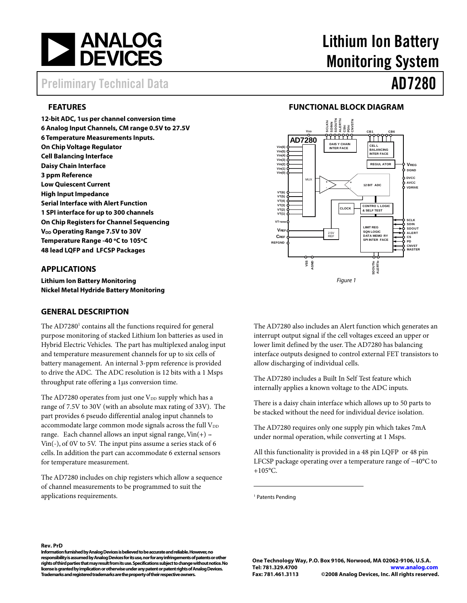

# Preliminary Technical Data AD7280

# **FEATURES**

**12-bit ADC, 1us per channel conversion time 6 Analog Input Channels, CM range 0.5V to 27.5V 6 Temperature Measurements Inputs. On Chip Voltage Regulator Cell Balancing Interface Daisy Chain Interface 3 ppm Reference Low Quiescent Current High Input Impedance Serial Interface with Alert Function 1 SPI interface for up to 300 channels On Chip Registers for Channel Sequencing V<sub>DD</sub> Operating Range 7.5V to 30V** Temperature Range -40 °C to 105°C **48 lead LQFP and LFCSP Packages** 

## **APPLICATIONS**

**Lithium Ion Battery Monitoring Nickel Metal Hydride Battery Monitoring** 

## **GENERAL DESCRIPTION**

The AD7280<sup>1</sup> contains all the functions required for general purpose monitoring of stacked Lithium Ion batteries as used in Hybrid Electric Vehicles. The part has multiplexed analog input and temperature measurement channels for up to six cells of battery management. An internal 3-ppm reference is provided to drive the ADC. The ADC resolution is 12 bits with a 1 Msps throughput rate offering a 1µs conversion time.

The AD7280 operates from just one  $V_{DD}$  supply which has a range of 7.5V to 30V (with an absolute max rating of 33V). The part provides 6 pseudo differential analog input channels to accommodate large common mode signals across the full  $V_{DD}$ range. Each channel allows an input signal range,  $Vin(+)$  -Vin(-), of 0V to 5V. The input pins assume a series stack of 6 cells. In addition the part can accommodate 6 external sensors for temperature measurement.

The AD7280 includes on chip registers which allow a sequence of channel measurements to be programmed to suit the applications requirements.

# Lithium Ion Battery Monitoring System

# **FUNCTIONAL BLOCK DIAGRAM**



The AD7280 also includes an Alert function which generates an interrupt output signal if the cell voltages exceed an upper or lower limit defined by the user. The AD7280 has balancing interface outputs designed to control external FET transistors to allow discharging of individual cells.

The AD7280 includes a Built In Self Test feature which internally applies a known voltage to the ADC inputs.

There is a daisy chain interface which allows up to 50 parts to be stacked without the need for individual device isolation.

The AD7280 requires only one supply pin which takes 7mA under normal operation, while converting at 1 Msps.

All this functionality is provided in a 48 pin LQFP or 48 pin LFCSP package operating over a temperature range of −40°C to  $+105$ °C.

<sup>1</sup> Patents Pending

**.** 

#### **Rev. PrD**

**Information furnished by Analog Devices is believed to be accurate and reliable. However, no responsibility is assumed by Analog Devices for its use, nor for any infringements of patents or other rights of third parties that may result from its use. Specifications subject to change without notice. No license is granted by implication or otherwise under any patent or patent rights of Analog Devices. Trademarks and registered trademarks are the property of their respective owners.**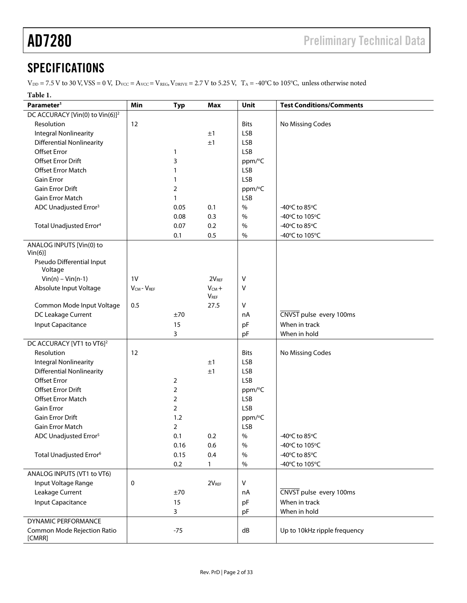# **SPECIFICATIONS**

 $V_{DD}$  = 7.5 V to 30 V, VSS = 0 V,  $D_{VCC} = A_{VCC} = V_{REG}$ ,  $V_{DRIVE}$  = 2.7 V to 5.25 V,  $T_A$  = -40°C to 105°C, unless otherwise noted

| Table 1.                                    |                      |                |                           |              |                                 |
|---------------------------------------------|----------------------|----------------|---------------------------|--------------|---------------------------------|
| Parameter <sup>1</sup>                      | Min                  | <b>Typ</b>     | Max                       | Unit         | <b>Test Conditions/Comments</b> |
| DC ACCURACY [Vin(0) to Vin(6)] <sup>2</sup> |                      |                |                           |              |                                 |
| Resolution                                  | 12                   |                |                           | <b>Bits</b>  | No Missing Codes                |
| <b>Integral Nonlinearity</b>                |                      |                | ±1                        | <b>LSB</b>   |                                 |
| <b>Differential Nonlinearity</b>            |                      |                | ±1                        | <b>LSB</b>   |                                 |
| <b>Offset Error</b>                         |                      | 1              |                           | <b>LSB</b>   |                                 |
| <b>Offset Error Drift</b>                   |                      | 3              |                           | ppm/°C       |                                 |
| Offset Error Match                          |                      | 1              |                           | <b>LSB</b>   |                                 |
| <b>Gain Error</b>                           |                      | 1              |                           | <b>LSB</b>   |                                 |
| Gain Error Drift                            |                      | 2              |                           | ppm/°C       |                                 |
| Gain Error Match                            |                      | 1              |                           | <b>LSB</b>   |                                 |
| ADC Unadjusted Error <sup>3</sup>           |                      | 0.05           | 0.1                       | $\%$         | -40°C to 85°C                   |
|                                             |                      | 0.08           | 0.3                       | $\%$         | -40°C to 105°C                  |
| Total Unadjusted Error <sup>4</sup>         |                      | 0.07           | 0.2                       | $\%$         | -40°C to 85°C                   |
|                                             |                      | 0.1            | 0.5                       | $\%$         | -40°C to 105°C                  |
| ANALOG INPUTS [Vin(0) to<br>$Vin(6)$ ]      |                      |                |                           |              |                                 |
| Pseudo Differential Input<br>Voltage        |                      |                |                           |              |                                 |
| $Vin(n) - Vin(n-1)$                         | 1 <sub>V</sub>       |                | 2V <sub>REF</sub>         | $\vee$       |                                 |
| Absolute Input Voltage                      | $V_{CM}$ - $V_{REF}$ |                | $V_{CM} +$<br><b>VREF</b> | V            |                                 |
| Common Mode Input Voltage                   | 0.5                  |                | 27.5                      | $\vee$       |                                 |
| DC Leakage Current                          |                      | ±70            |                           | nA           | CNVST pulse every 100ms         |
| Input Capacitance                           |                      | 15             |                           | pF           | When in track                   |
|                                             |                      | 3              |                           | pF           | When in hold                    |
| DC ACCURACY [VT1 to VT6] <sup>2</sup>       |                      |                |                           |              |                                 |
| Resolution                                  | 12                   |                |                           | <b>Bits</b>  | No Missing Codes                |
| <b>Integral Nonlinearity</b>                |                      |                | ±1                        | <b>LSB</b>   |                                 |
| <b>Differential Nonlinearity</b>            |                      |                | ±1                        | <b>LSB</b>   |                                 |
| <b>Offset Error</b>                         |                      | 2              |                           | <b>LSB</b>   |                                 |
| <b>Offset Error Drift</b>                   |                      | $\overline{2}$ |                           | ppm/°C       |                                 |
| Offset Error Match                          |                      | $\overline{2}$ |                           | <b>LSB</b>   |                                 |
| <b>Gain Error</b>                           |                      | $\overline{2}$ |                           | <b>LSB</b>   |                                 |
| Gain Error Drift                            |                      | 1.2            |                           | ppm/°C       |                                 |
| Gain Error Match                            |                      | $\overline{2}$ |                           | <b>LSB</b>   |                                 |
| ADC Unadjusted Error <sup>5</sup>           |                      | 0.1            | 0.2                       | $\%$         | -40℃ to 85℃                     |
|                                             |                      | 0.16           | 0.6                       | $\%$         | -40°C to 105°C                  |
| Total Unadjusted Error <sup>6</sup>         |                      | 0.15           | 0.4                       | $\%$         | -40°C to 85°C                   |
|                                             |                      | 0.2            | 1                         | $\%$         | -40°C to 105°C                  |
| ANALOG INPUTS (VT1 to VT6)                  |                      |                |                           |              |                                 |
| Input Voltage Range                         | 0                    |                | 2V <sub>REF</sub>         | $\mathsf{V}$ |                                 |
| Leakage Current                             |                      | ±70            |                           | nA           | CNVST pulse every 100ms         |
|                                             |                      | 15             |                           |              | When in track                   |
| Input Capacitance                           |                      | 3              |                           | pF           | When in hold                    |
| <b>DYNAMIC PERFORMANCE</b>                  |                      |                |                           | pF           |                                 |
| Common Mode Rejection Ratio                 |                      |                |                           | dB           |                                 |
| [CMRR]                                      |                      | $-75$          |                           |              | Up to 10kHz ripple frequency    |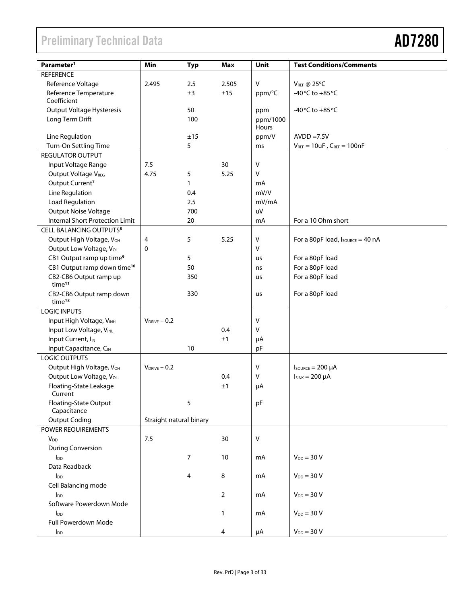# Preliminary Technical Data

| Parameter <sup>1</sup>                         | Min                     | <b>Typ</b>   | <b>Max</b> | Unit         | <b>Test Conditions/Comments</b>                      |  |
|------------------------------------------------|-------------------------|--------------|------------|--------------|------------------------------------------------------|--|
| <b>REFERENCE</b>                               |                         |              |            |              |                                                      |  |
| Reference Voltage                              | 2.495                   | 2.5          | 2.505      | V            | <b>VREF @ 25°C</b>                                   |  |
| Reference Temperature                          |                         | ±3           | ±15        | ppm/°C       | -40 °C to +85 °C                                     |  |
| Coefficient                                    |                         |              |            |              |                                                      |  |
| <b>Output Voltage Hysteresis</b>               |                         | 50           |            | ppm          | -40 $\degree$ C to +85 $\degree$ C                   |  |
| Long Term Drift                                |                         | 100          |            | ppm/1000     |                                                      |  |
|                                                |                         |              |            | Hours        |                                                      |  |
| Line Regulation                                |                         | ±15          |            | ppm/V        | $AVDD = 7.5V$                                        |  |
| Turn-On Settling Time                          |                         | 5            |            | ms           | $V_{REF} = 10uF$ , $C_{REF} = 100nF$                 |  |
| <b>REGULATOR OUTPUT</b>                        |                         |              |            |              |                                                      |  |
| Input Voltage Range                            | 7.5                     |              | 30         | $\vee$       |                                                      |  |
| Output Voltage VREG                            | 4.75                    | 5            | 5.25       | $\mathsf{V}$ |                                                      |  |
| Output Current <sup>7</sup>                    |                         | $\mathbf{1}$ |            | mA           |                                                      |  |
| Line Regulation                                |                         | 0.4          |            | mV/V         |                                                      |  |
| Load Regulation                                |                         | 2.5          |            | mV/mA        |                                                      |  |
| Output Noise Voltage                           |                         | 700          |            | uV           |                                                      |  |
| <b>Internal Short Protection Limit</b>         |                         | 20           |            | mA           | For a 10 Ohm short                                   |  |
| CELL BALANCING OUTPUTS <sup>8</sup>            |                         |              |            |              |                                                      |  |
| Output High Voltage, VOH                       | 4                       | 5            | 5.25       | $\mathsf{V}$ | For a 80pF load, $I_{\text{SOWRCE}} = 40 \text{ nA}$ |  |
| Output Low Voltage, V <sub>OL</sub>            | 0                       |              |            | $\mathsf{V}$ |                                                      |  |
| CB1 Output ramp up time <sup>9</sup>           |                         | 5            |            | us           | For a 80pF load                                      |  |
| CB1 Output ramp down time <sup>10</sup>        |                         | 50           |            | ns           | For a 80pF load                                      |  |
| CB2-CB6 Output ramp up                         |                         | 350          |            | us           | For a 80pF load                                      |  |
| time <sup>11</sup>                             |                         |              |            |              |                                                      |  |
| CB2-CB6 Output ramp down                       |                         | 330          |            | us           | For a 80pF load                                      |  |
| time <sup>12</sup>                             |                         |              |            |              |                                                      |  |
| <b>LOGIC INPUTS</b>                            |                         |              |            |              |                                                      |  |
| Input High Voltage, VINH                       | $V_{DRIVE} - 0.2$       |              |            | $\vee$       |                                                      |  |
| Input Low Voltage, VINL                        |                         |              | 0.4        | $\mathsf{V}$ |                                                      |  |
| Input Current, I <sub>IN</sub>                 |                         |              | ±1         | μA           |                                                      |  |
| Input Capacitance, CIN<br><b>LOGIC OUTPUTS</b> |                         | 10           |            | pF           |                                                      |  |
|                                                | $V_{DRIVE} - 0.2$       |              |            |              |                                                      |  |
| Output High Voltage, VOH                       |                         |              |            | V<br>$\vee$  | $I_{\text{SOWRCE}} = 200 \mu A$                      |  |
| Output Low Voltage, VoL                        |                         |              | 0.4        |              | $I_{SINK} = 200 \mu A$                               |  |
| Floating-State Leakage<br>Current              |                         |              | $\pm 1$    | μA           |                                                      |  |
| Floating-State Output                          |                         | 5            |            | pF           |                                                      |  |
| Capacitance                                    |                         |              |            |              |                                                      |  |
| <b>Output Coding</b>                           | Straight natural binary |              |            |              |                                                      |  |
| POWER REQUIREMENTS                             |                         |              |            |              |                                                      |  |
| <b>V<sub>DD</sub></b>                          | 7.5                     |              | 30         | $\mathsf{V}$ |                                                      |  |
| <b>During Conversion</b>                       |                         |              |            |              |                                                      |  |
| $I_{DD}$                                       |                         | 7            | $10\,$     | mA           | $V_{DD} = 30 V$                                      |  |
| Data Readback                                  |                         |              |            |              |                                                      |  |
| $I_{DD}$                                       |                         | 4            | 8          | mA           | $V_{DD} = 30 V$                                      |  |
| Cell Balancing mode                            |                         |              |            |              |                                                      |  |
| $I_{DD}$                                       |                         |              | 2          | mA           | $V_{DD}$ = 30 V                                      |  |
| Software Powerdown Mode                        |                         |              |            |              |                                                      |  |
| $I_{DD}$                                       |                         |              | 1          | mA           | $V_{DD} = 30 V$                                      |  |
| Full Powerdown Mode                            |                         |              |            |              |                                                      |  |
| $I_{DD}$                                       |                         |              | 4          | $\mu A$      | $V_{DD} = 30 V$                                      |  |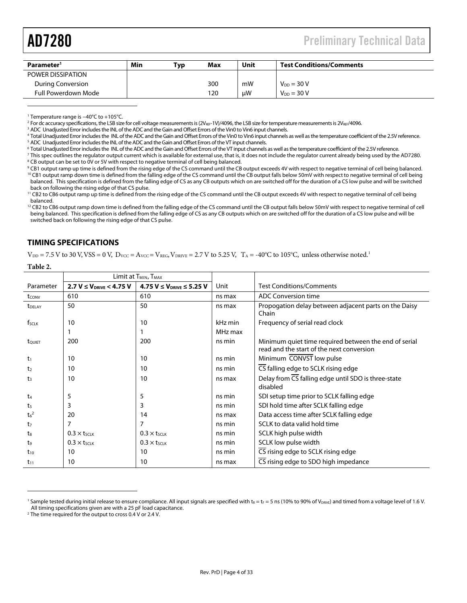$\overline{a}$ 

| Parameter <sup>1</sup> | Min | ™ур | <b>Max</b> | Unit | <b>Test Conditions/Comments</b> |
|------------------------|-----|-----|------------|------|---------------------------------|
| POWER DISSIPATION      |     |     |            |      |                                 |
| During Conversion      |     |     | 300        | mW   | $V_{DD} = 30 V$                 |
| Full Powerdown Mode    |     |     | 120        | μW   | $V_{DD} = 30 V$                 |

<sup>1</sup> Temperature range is −40°C to +105°C.<br><sup>2</sup> For de accuracy specifications, the LSB size

<sup>2</sup> For dc accuracy specifications, the LSB size for cell voltage measurements is (2V<sub>REF</sub>-1V)/4096, the LSB size for temperature measurements is 2V<sub>REF</sub>/4096.

<sup>3</sup> ADC Unadjusted Error includes the INL of the ADC and the Gain and Offset Errors of the Vin0 to Vin6 input channels.

<sup>4</sup> Total Unadjusted Error includes the INL of the ADC and the Gain and Offset Errors of the Vin0 to Vin6 input channels as well as the temperature coefficient of the 2.5V reference.<br><sup>5</sup> ADC Unadjusted Error includes the I <sup>5</sup> ADC Unadjusted Error includes the INL of the ADC and the Gain and Offset Errors of the VT input channels.

<sup>6</sup> Total Unadjusted Error includes the INL of the ADC and the Gain and Offset Errors of the VT input channels as well as the temperature coefficient of the 2.5V reference.<br><sup>7</sup> This spec outlines the requietor output curre <sup>7</sup> This spec outlines the regulator output current which is available for external use, that is, it does not include the regulator current already being used by the AD7280. <sup>8</sup> CB output can be set to 0V or 5V with respect to negative terminal of cell being balanced.

<sup>9</sup> CB1 output ramp up time is defined from the rising edge of the CS command until the CB output exceeds 4V with respect to negative terminal of cell being balanced. <sup>10</sup> CB1 output ramp down time is defined from the falling edge of the CS command until the CB output falls below 50mV with respect to negative terminal of cell being balanced. This specification is defined from the falling edge of CS as any CB outputs which on are switched off for the duration of a CS low pulse and will be switched back on following the rising edge of that CS pulse.

<sup>11</sup> CB2 to CB6 output ramp up time is defined from the rising edge of the CS command until the CB output exceeds 4V with respect to negative terminal of cell being balanced.

 $12$  CB2 to CB6 output ramp down time is defined from the falling edge of the CS command until the CB output falls below 50mV with respect to negative terminal of cell being balanced. This specification is defined from the falling edge of CS as any CB outputs which on are switched off for the duration of a CS low pulse and will be switched back on following the rising edge of that CS pulse.

# **TIMING SPECIFICATIONS**

**Table 2.** 

 $\overline{a}$ 

 $V_{\text{DD}}$  = 7.5 V to 30 V, VSS = 0 V,  $D_{\text{VCC}} = A_{\text{VCC}} = V_{\text{REG}}$ ,  $V_{\text{DRIVE}} = 2.7$  V to 5.25 V,  $T_A = -40^{\circ}\text{C}$  to 105 $^{\circ}\text{C}$ , unless otherwise noted.<sup>1</sup>

|                             | Limit at T <sub>MIN</sub> , T <sub>MAX</sub> |                                     |         |                                                                                                    |  |
|-----------------------------|----------------------------------------------|-------------------------------------|---------|----------------------------------------------------------------------------------------------------|--|
| Parameter                   | $2.7 V \leq V_{DRIVE} < 4.75 V$              | $4.75 V \leq V_{DRIVE} \leq 5.25 V$ | Unit    | <b>Test Conditions/Comments</b>                                                                    |  |
| tconv                       | 610                                          | 610                                 | ns max  | <b>ADC Conversion time</b>                                                                         |  |
| <b>T</b> DELAY              | 50                                           | 50                                  | ns max  | Propogation delay between adjacent parts on the Daisy<br>Chain                                     |  |
| f <sub>sclk</sub>           | 10                                           | 10                                  | kHz min | Frequency of serial read clock                                                                     |  |
|                             |                                              |                                     | MHz max |                                                                                                    |  |
| tQUIET                      | 200                                          | 200                                 | ns min  | Minimum quiet time required between the end of serial<br>read and the start of the next conversion |  |
| $t_1$                       | 10                                           | 10                                  | ns min  | Minimum CONVST low pulse                                                                           |  |
| t <sub>2</sub>              | 10                                           | 10                                  | ns min  | CS falling edge to SCLK rising edge                                                                |  |
| $t_3$                       | 10                                           | 10                                  | ns max  | Delay from CS falling edge until SDO is three-state<br>disabled                                    |  |
| t <sub>4</sub>              | 5                                            | 5                                   | ns min  | SDI setup time prior to SCLK falling edge                                                          |  |
| t <sub>5</sub>              | 3                                            | 3                                   | ns min  | SDI hold time after SCLK falling edge                                                              |  |
| t <sub>6</sub> <sup>2</sup> | 20                                           | 14                                  | ns max  | Data access time after SCLK falling edge                                                           |  |
| t7                          | 7                                            | 7                                   | ns min  | SCLK to data valid hold time                                                                       |  |
| tз                          | $0.3 \times t$ SCLK                          | $0.3 \times t$ SCLK                 | ns min  | SCLK high pulse width                                                                              |  |
| t,                          | $0.3 \times t_{SCLK}$                        | $0.3 \times t_{SCLK}$               | ns min  | SCLK low pulse width                                                                               |  |
| $t_{10}$                    | 10                                           | 10                                  | ns min  | CS rising edge to SCLK rising edge                                                                 |  |
| $t_{11}$                    | 10                                           | 10                                  | ns max  | CS rising edge to SDO high impedance                                                               |  |

<sup>&</sup>lt;sup>1</sup> Sample tested during initial release to ensure compliance. All input signals are specified with t<sub>R</sub> = t<sub>F</sub> = 5 ns (10% to 90% of V<sub>DRIVE</sub>) and timed from a voltage level of 1.6 V. All timing specifications given are with a 25 pF load capacitance.

<sup>&</sup>lt;sup>2</sup> The time required for the output to cross 0.4 V or 2.4 V.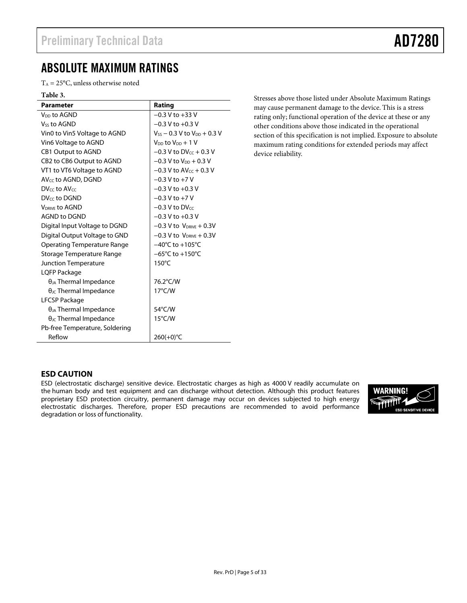# ABSOLUTE MAXIMUM RATINGS

 $T_A = 25$ °C, unless otherwise noted

#### **Table 3.**

| <b>Parameter</b>                                  | Rating                               |
|---------------------------------------------------|--------------------------------------|
| V <sub>DD</sub> to AGND                           | $-0.3 V$ to $+33 V$                  |
| <b>Vss to AGND</b>                                | $-0.3$ V to $+0.3$ V                 |
| Vin0 to Vin5 Voltage to AGND                      | $V_{SS}$ – 0.3 V to $V_{DD}$ + 0.3 V |
| Vin6 Voltage to AGND                              | $V_{DD}$ to $V_{DD} + 1 V$           |
| <b>CB1 Output to AGND</b>                         | $-0.3$ V to DV $cc + 0.3$ V          |
| CB <sub>2</sub> to CB <sub>6</sub> Output to AGND | $-0.3$ V to $V_{DD}$ + 0.3 V         |
| VT1 to VT6 Voltage to AGND                        | $-0.3$ V to AV $cc + 0.3$ V          |
| $AV_{CC}$ to $AGND$ , DGND                        | $-0.3$ V to $+7$ V                   |
| DV <sub>cc</sub> to AV <sub>cc</sub>              | $-0.3$ V to $+0.3$ V                 |
| DV <sub>cc</sub> to DGND                          | $-0.3$ V to $+7$ V                   |
| <b>VDRIVE TO AGND</b>                             | $-0.3$ V to DV $cc$                  |
| <b>AGND to DGND</b>                               | $-0.3$ V to $+0.3$ V                 |
| Digital Input Voltage to DGND                     | $-0.3$ V to $V_{DRIVE} + 0.3V$       |
| Digital Output Voltage to GND                     | $-0.3$ V to $V_{DRIVE} + 0.3V$       |
| Operating Temperature Range                       | $-40^{\circ}$ C to $+105^{\circ}$ C  |
| Storage Temperature Range                         | $-65^{\circ}$ C to $+150^{\circ}$ C  |
| <b>Junction Temperature</b>                       | $150^{\circ}$ C                      |
| LQFP Package                                      |                                      |
| $\theta_{JA}$ Thermal Impedance                   | 76.2°C/W                             |
| $\theta_{\text{JC}}$ Thermal Impedance            | $17^{\circ}$ C/W                     |
| LFCSP Package                                     |                                      |
| $\theta_{JA}$ Thermal Impedance                   | 54°C/W                               |
| $\theta_{\text{JC}}$ Thermal Impedance            | $15^{\circ}$ C/W                     |
| Pb-free Temperature, Soldering                    |                                      |
| Reflow                                            | 260(+0)°C                            |

Stresses above those listed under Absolute Maximum Ratings may cause permanent damage to the device. This is a stress rating only; functional operation of the device at these or any other conditions above those indicated in the operational section of this specification is not implied. Exposure to absolute maximum rating conditions for extended periods may affect device reliability.

## **ESD CAUTION**

ESD (electrostatic discharge) sensitive device. Electrostatic charges as high as 4000 V readily accumulate on the human body and test equipment and can discharge without detection. Although this product features proprietary ESD protection circuitry, permanent damage may occur on devices subjected to high energy electrostatic discharges. Therefore, proper ESD precautions are recommended to avoid performance degradation or loss of functionality.

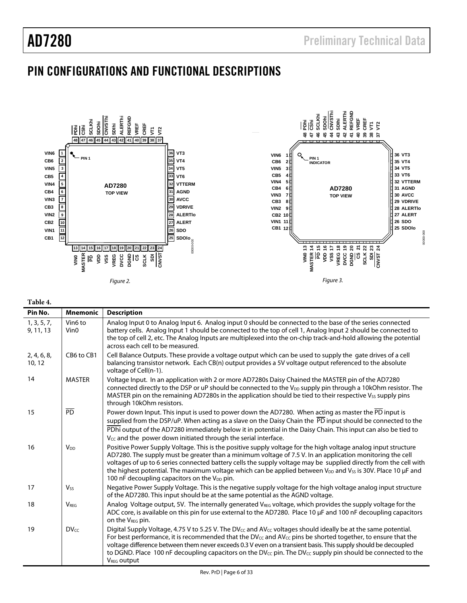# PIN CONFIGURATIONS AND FUNCTIONAL DESCRIPTIONS



**Table 4.** 

| Vin6 to<br>Analog Input 0 to Analog Input 6. Analog input 0 should be connected to the base of the series connected<br>1, 3, 5, 7,<br>battery cells. Analog Input 1 should be connected to the top of cell 1, Analog Input 2 should be connected to<br>Vin <sub>0</sub><br>9, 11, 13<br>the top of cell 2, etc. The Analog Inputs are multiplexed into the on-chip track-and-hold allowing the potential<br>across each cell to be measured.<br>CB6 to CB1<br>Cell Balance Outputs. These provide a voltage output which can be used to supply the gate drives of a cell<br>2, 4, 6, 8,<br>balancing transistor network. Each CB(n) output provides a 5V voltage output referenced to the absolute<br>10, 12<br>voltage of Cell(n-1).<br>14<br><b>MASTER</b><br>Voltage Input. In an application with 2 or more AD7280s Daisy Chained the MASTER pin of the AD7280<br>MASTER pin on the remaining AD7280s in the application should be tied to their respective V <sub>55</sub> supply pins<br>through 10kOhm resistors.<br>$\overline{PD}$<br>15<br>Power down Input. This input is used to power down the AD7280. When acting as master the PD input is<br>PDhi output of the AD7280 immediately below it in potential in the Daisy Chain. This input can also be tied to<br>V <sub>CC</sub> and the power down initiated through the serial interface.<br>16<br><b>V<sub>DD</sub></b><br>Positive Power Supply Voltage. This is the positive supply voltage for the high voltage analog input structure<br>AD7280. The supply must be greater than a minimum voltage of 7.5 V. In an application monitoring the cell<br>100 nF decoupling capacitors on the V <sub>DD</sub> pin.<br>17<br><b>V<sub>ss</sub></b><br>of the AD7280. This input should be at the same potential as the AGND voltage.<br>Analog Voltage output, 5V. The internally generated V <sub>REG</sub> voltage, which provides the supply voltage for the<br>18<br><b>VRFG</b><br>on the V <sub>REG</sub> pin.<br>Digital Supply Voltage, 4.75 V to 5.25 V. The DV <sub>cc</sub> and AV <sub>cc</sub> voltages should ideally be at the same potential.<br><b>DVcc</b><br>19<br>For best performance, it is recommended that the DV $_{cc}$ and AV $_{cc}$ pins be shorted together, to ensure that the<br>voltage difference between them never exceeds 0.3 V even on a transient basis. This supply should be decoupled | Pin No. | <b>Mnemonic</b> | <b>Description</b>                                                                                                                                                                                                                                       |
|-------------------------------------------------------------------------------------------------------------------------------------------------------------------------------------------------------------------------------------------------------------------------------------------------------------------------------------------------------------------------------------------------------------------------------------------------------------------------------------------------------------------------------------------------------------------------------------------------------------------------------------------------------------------------------------------------------------------------------------------------------------------------------------------------------------------------------------------------------------------------------------------------------------------------------------------------------------------------------------------------------------------------------------------------------------------------------------------------------------------------------------------------------------------------------------------------------------------------------------------------------------------------------------------------------------------------------------------------------------------------------------------------------------------------------------------------------------------------------------------------------------------------------------------------------------------------------------------------------------------------------------------------------------------------------------------------------------------------------------------------------------------------------------------------------------------------------------------------------------------------------------------------------------------------------------------------------------------------------------------------------------------------------------------------------------------------------------------------------------------------------------------------------------------------------------------------------------------------------------------------------------------------------------------------------------------------------------------------------------------------------------------------|---------|-----------------|----------------------------------------------------------------------------------------------------------------------------------------------------------------------------------------------------------------------------------------------------------|
|                                                                                                                                                                                                                                                                                                                                                                                                                                                                                                                                                                                                                                                                                                                                                                                                                                                                                                                                                                                                                                                                                                                                                                                                                                                                                                                                                                                                                                                                                                                                                                                                                                                                                                                                                                                                                                                                                                                                                                                                                                                                                                                                                                                                                                                                                                                                                                                                 |         |                 |                                                                                                                                                                                                                                                          |
|                                                                                                                                                                                                                                                                                                                                                                                                                                                                                                                                                                                                                                                                                                                                                                                                                                                                                                                                                                                                                                                                                                                                                                                                                                                                                                                                                                                                                                                                                                                                                                                                                                                                                                                                                                                                                                                                                                                                                                                                                                                                                                                                                                                                                                                                                                                                                                                                 |         |                 |                                                                                                                                                                                                                                                          |
|                                                                                                                                                                                                                                                                                                                                                                                                                                                                                                                                                                                                                                                                                                                                                                                                                                                                                                                                                                                                                                                                                                                                                                                                                                                                                                                                                                                                                                                                                                                                                                                                                                                                                                                                                                                                                                                                                                                                                                                                                                                                                                                                                                                                                                                                                                                                                                                                 |         |                 | connected directly to the DSP or uP should be connected to the V <sub>DD</sub> supply pin through a 10kOhm resistor. The                                                                                                                                 |
|                                                                                                                                                                                                                                                                                                                                                                                                                                                                                                                                                                                                                                                                                                                                                                                                                                                                                                                                                                                                                                                                                                                                                                                                                                                                                                                                                                                                                                                                                                                                                                                                                                                                                                                                                                                                                                                                                                                                                                                                                                                                                                                                                                                                                                                                                                                                                                                                 |         |                 | supplied from the DSP/uP. When acting as a slave on the Daisy Chain the PD input should be connected to the                                                                                                                                              |
|                                                                                                                                                                                                                                                                                                                                                                                                                                                                                                                                                                                                                                                                                                                                                                                                                                                                                                                                                                                                                                                                                                                                                                                                                                                                                                                                                                                                                                                                                                                                                                                                                                                                                                                                                                                                                                                                                                                                                                                                                                                                                                                                                                                                                                                                                                                                                                                                 |         |                 | voltages of up to 6 series connected battery cells the supply voltage may be supplied directly from the cell with<br>the highest potential. The maximum voltage which can be applied between V <sub>DD</sub> and V <sub>SS</sub> is 30V. Place 10 µF and |
|                                                                                                                                                                                                                                                                                                                                                                                                                                                                                                                                                                                                                                                                                                                                                                                                                                                                                                                                                                                                                                                                                                                                                                                                                                                                                                                                                                                                                                                                                                                                                                                                                                                                                                                                                                                                                                                                                                                                                                                                                                                                                                                                                                                                                                                                                                                                                                                                 |         |                 | Negative Power Supply Voltage. This is the negative supply voltage for the high voltage analog input structure                                                                                                                                           |
|                                                                                                                                                                                                                                                                                                                                                                                                                                                                                                                                                                                                                                                                                                                                                                                                                                                                                                                                                                                                                                                                                                                                                                                                                                                                                                                                                                                                                                                                                                                                                                                                                                                                                                                                                                                                                                                                                                                                                                                                                                                                                                                                                                                                                                                                                                                                                                                                 |         |                 | ADC core, is available on this pin for use external to the AD7280. Place 10 µF and 100 nF decoupling capacitors                                                                                                                                          |
|                                                                                                                                                                                                                                                                                                                                                                                                                                                                                                                                                                                                                                                                                                                                                                                                                                                                                                                                                                                                                                                                                                                                                                                                                                                                                                                                                                                                                                                                                                                                                                                                                                                                                                                                                                                                                                                                                                                                                                                                                                                                                                                                                                                                                                                                                                                                                                                                 |         |                 | to DGND. Place 100 nF decoupling capacitors on the $DV_{\text{CC}}$ pin. The DV <sub>cc</sub> supply pin should be connected to the<br><b>VREG OUTDUT</b>                                                                                                |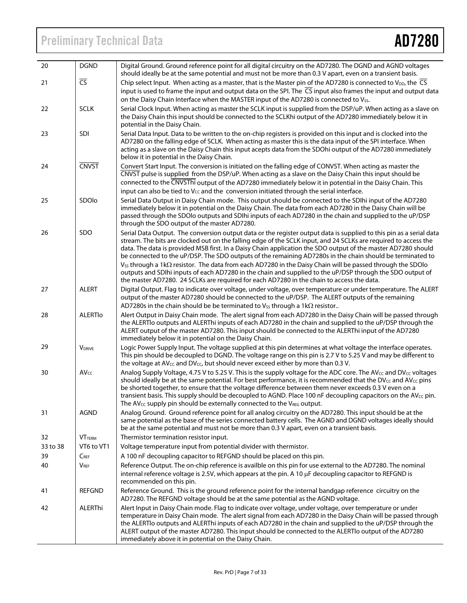# Preliminary Technical Data **AD7280**

| 20       | <b>DGND</b>      | Digital Ground. Ground reference point for all digital circuitry on the AD7280. The DGND and AGND voltages<br>should ideally be at the same potential and must not be more than 0.3 V apart, even on a transient basis.                                                                                                                                                                                                                                                                                                                                                                                                                                                                                     |
|----------|------------------|-------------------------------------------------------------------------------------------------------------------------------------------------------------------------------------------------------------------------------------------------------------------------------------------------------------------------------------------------------------------------------------------------------------------------------------------------------------------------------------------------------------------------------------------------------------------------------------------------------------------------------------------------------------------------------------------------------------|
| 21       | $\overline{CS}$  | Chip select Input. When acting as a master, that is the Master pin of the AD7280 is connected to V <sub>DD</sub> , the $\overline{CS}$                                                                                                                                                                                                                                                                                                                                                                                                                                                                                                                                                                      |
|          |                  | input is used to frame the input and output data on the SPI. The $\overline{CS}$ input also frames the input and output data<br>on the Daisy Chain Interface when the MASTER input of the AD7280 is connected to V <sub>SS</sub> .                                                                                                                                                                                                                                                                                                                                                                                                                                                                          |
| 22       | <b>SCLK</b>      | Serial Clock Input. When acting as master the SCLK input is supplied from the DSP/uP. When acting as a slave on<br>the Daisy Chain this input should be connected to the SCLKhi output of the AD7280 immediately below it in<br>potential in the Daisy Chain.                                                                                                                                                                                                                                                                                                                                                                                                                                               |
| 23       | SDI              | Serial Data Input. Data to be written to the on-chip registers is provided on this input and is clocked into the<br>AD7280 on the falling edge of SCLK. When acting as master this is the data input of the SPI interface. When<br>acting as a slave on the Daisy Chain this input acepts data from the SDOhi output of the AD7280 immediately<br>below it in potential in the Daisy Chain.                                                                                                                                                                                                                                                                                                                 |
| 24       | <b>CNVST</b>     | Convert Start Input. The conversion is initiated on the falling edge of CONVST. When acting as master the<br>CNVST pulse is supplied from the DSP/uP. When acting as a slave on the Daisy Chain this input should be<br>connected to the CNVSThi output of the AD7280 immediately below it in potential in the Daisy Chain. This<br>input can also be tied to $V_{CC}$ and the conversion initiated through the serial interface.                                                                                                                                                                                                                                                                           |
| 25       | SDOlo            | Serial Data Output in Daisy Chain mode. This output should be connected to the SDIhi input of the AD7280<br>immediately below it in potential on the Daisy Chain. The data from each AD7280 in the Daisy Chain will be<br>passed through the SDOlo outputs and SDIhi inputs of each AD7280 in the chain and supplied to the uP/DSP<br>through the SDO output of the master AD7280.                                                                                                                                                                                                                                                                                                                          |
| 26       | SDO              | Serial Data Output. The conversion output data or the register output data is supplied to this pin as a serial data<br>stream. The bits are clocked out on the falling edge of the SCLK input, and 24 SCLKs are required to access the<br>data. The data is provided MSB first. In a Daisy Chain application the SDO output of the master AD7280 should<br>be connected to the uP/DSP. The SDO outputs of the remaining AD7280s in the chain should be terminated to<br>$V_{SS}$ through a 1k $\Omega$ resistor. The data from each AD7280 in the Daisy Chain will be passed through the SDOlo<br>outputs and SDIhi inputs of each AD7280 in the chain and supplied to the uP/DSP through the SDO output of |
|          |                  | the master AD7280. 24 SCLKs are required for each AD7280 in the chain to access the data.                                                                                                                                                                                                                                                                                                                                                                                                                                                                                                                                                                                                                   |
| 27       | <b>ALERT</b>     | Digital Output. Flag to indicate over voltage, under voltage, over temperature or under temperature. The ALERT<br>output of the master AD7280 should be connected to the uP/DSP. The ALERT outputs of the remaining                                                                                                                                                                                                                                                                                                                                                                                                                                                                                         |
|          |                  | AD7280s in the chain should be be terminated to $V_{SS}$ through a 1k $\Omega$ resistor                                                                                                                                                                                                                                                                                                                                                                                                                                                                                                                                                                                                                     |
| 28       | <b>ALERTIO</b>   | Alert Output in Daisy Chain mode. The alert signal from each AD7280 in the Daisy Chain will be passed through<br>the ALERTIo outputs and ALERThi inputs of each AD7280 in the chain and supplied to the uP/DSP through the<br>ALERT output of the master AD7280. This input should be connected to the ALERThi input of the AD7280<br>immediately below it in potential on the Daisy Chain.                                                                                                                                                                                                                                                                                                                 |
| 29       | <b>VDRIVE</b>    | Logic Power Supply Input. The voltage supplied at this pin determines at what voltage the interface operates.<br>This pin should be decoupled to DGND. The voltage range on this pin is 2.7 V to 5.25 V and may be different to<br>the voltage at AV <sub>CC</sub> and DV <sub>CC</sub> , but should never exceed either by more than 0.3 V.                                                                                                                                                                                                                                                                                                                                                                |
| 30       | AV <sub>CC</sub> | Analog Supply Voltage, 4.75 V to 5.25 V. This is the supply voltage for the ADC core. The AV <sub>CC</sub> and DV <sub>CC</sub> voltages<br>should ideally be at the same potential. For best performance, it is recommended that the DV <sub>CC</sub> and AV <sub>CC</sub> pins<br>be shorted together, to ensure that the voltage difference between them never exceeds 0.3 V even on a<br>transient basis. This supply should be decoupled to AGND. Place 100 nF decoupling capacitors on the AV <sub>cc</sub> pin.<br>The AV <sub>CC</sub> supply pin should be externally connected to the VREG output.                                                                                                |
| 31       | <b>AGND</b>      | Analog Ground. Ground reference point for all analog circuitry on the AD7280. This input should be at the<br>same potential as the base of the series connected battery cells. The AGND and DGND voltages ideally should<br>be at the same potential and must not be more than 0.3 V apart, even on a transient basis.                                                                                                                                                                                                                                                                                                                                                                                      |
| 32       | <b>VTTERM</b>    | Thermistor termination resistor input.                                                                                                                                                                                                                                                                                                                                                                                                                                                                                                                                                                                                                                                                      |
| 33 to 38 | VT6 to VT1       | Voltage temperature input from potential divider with thermistor.                                                                                                                                                                                                                                                                                                                                                                                                                                                                                                                                                                                                                                           |
| 39       | $C_{REF}$        | A 100 nF decoupling capacitor to REFGND should be placed on this pin.                                                                                                                                                                                                                                                                                                                                                                                                                                                                                                                                                                                                                                       |
| 40       | <b>VREF</b>      | Reference Output. The on-chip reference is availble on this pin for use external to the AD7280. The nominal<br>internal reference voltage is 2.5V, which appears at the pin. A 10 µF decoupling capacitor to REFGND is<br>recommended on this pin.                                                                                                                                                                                                                                                                                                                                                                                                                                                          |
| 41       | <b>REFGND</b>    | Reference Ground. This is the ground reference point for the internal bandgap reference circuitry on the<br>AD7280. The REFGND voltage should be at the same potential as the AGND voltage.                                                                                                                                                                                                                                                                                                                                                                                                                                                                                                                 |
| 42       | ALERThi          | Alert Input in Daisy Chain mode. Flag to indicate over voltage, under voltage, over temperature or under<br>temperature in Daisy Chain mode. The alert signal from each AD7280 in the Daisy Chain will be passed through<br>the ALERTIo outputs and ALERThi inputs of each AD7280 in the chain and supplied to the uP/DSP through the<br>ALERT output of the master AD7280. This input should be connected to the ALERTIo output of the AD7280<br>immediately above it in potential on the Daisy Chain.                                                                                                                                                                                                     |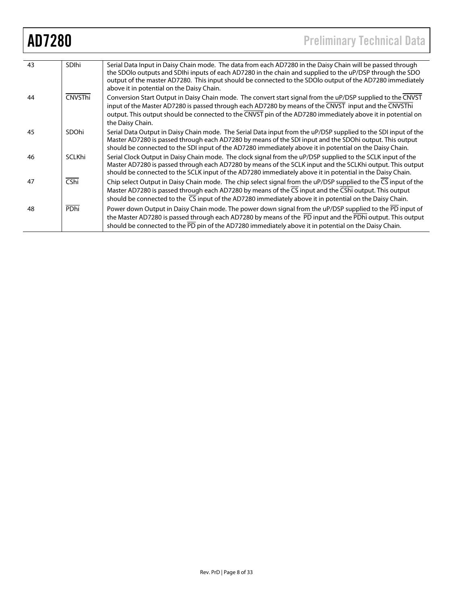| 43 | <b>SDIhi</b>               | Serial Data Input in Daisy Chain mode. The data from each AD7280 in the Daisy Chain will be passed through<br>the SDOIo outputs and SDIhi inputs of each AD7280 in the chain and supplied to the uP/DSP through the SDO<br>output of the master AD7280. This input should be connected to the SDOIo output of the AD7280 immediately<br>above it in potential on the Daisy Chain. |
|----|----------------------------|-----------------------------------------------------------------------------------------------------------------------------------------------------------------------------------------------------------------------------------------------------------------------------------------------------------------------------------------------------------------------------------|
| 44 | CNVSThi                    | Conversion Start Output in Daisy Chain mode. The convert start signal from the uP/DSP supplied to the CNVST<br>input of the Master AD7280 is passed through each AD7280 by means of the CNVST input and the CNVSThi<br>output. This output should be connected to the CNVST pin of the AD7280 immediately above it in potential on<br>the Daisy Chain.                            |
| 45 | SDOhi                      | Serial Data Output in Daisy Chain mode. The Serial Data input from the uP/DSP supplied to the SDI input of the<br>Master AD7280 is passed through each AD7280 by means of the SDI input and the SDOhi output. This output<br>should be connected to the SDI input of the AD7280 immediately above it in potential on the Daisy Chain.                                             |
| 46 | SCLKhi                     | Serial Clock Output in Daisy Chain mode. The clock signal from the uP/DSP supplied to the SCLK input of the<br>Master AD7280 is passed through each AD7280 by means of the SCLK input and the SCLKhi output. This output<br>should be connected to the SCLK input of the AD7280 immediately above it in potential in the Daisy Chain.                                             |
| 47 | $\overline{\mathsf{CShi}}$ | Chip select Output in Daisy Chain mode. The chip select signal from the uP/DSP supplied to the CS input of the<br>Master AD7280 is passed through each AD7280 by means of the CS input and the CShi output. This output<br>should be connected to the $\overline{CS}$ input of the AD7280 immediately above it in potential on the Daisy Chain.                                   |
| 48 | PDhi                       | Power down Output in Daisy Chain mode. The power down signal from the uP/DSP supplied to the PD input of<br>the Master AD7280 is passed through each AD7280 by means of the PD input and the PDhi output. This output<br>should be connected to the PD pin of the AD7280 immediately above it in potential on the Daisy Chain.                                                    |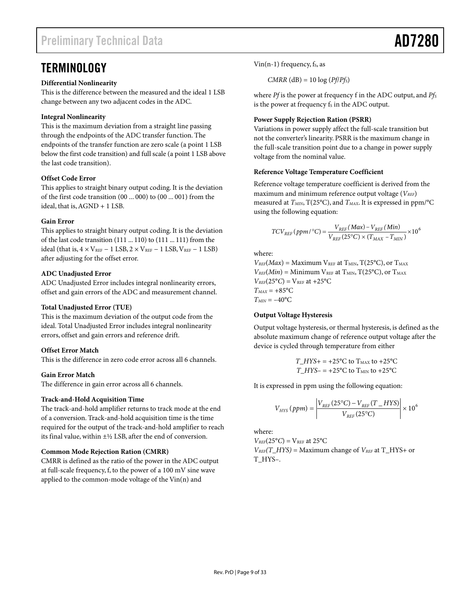# **TERMINOLOGY**

# **Differential Nonlinearity**

This is the difference between the measured and the ideal 1 LSB change between any two adjacent codes in the ADC.

# **Integral Nonlinearity**

This is the maximum deviation from a straight line passing through the endpoints of the ADC transfer function. The endpoints of the transfer function are zero scale (a point 1 LSB below the first code transition) and full scale (a point 1 LSB above the last code transition).

# **Offset Code Error**

This applies to straight binary output coding. It is the deviation of the first code transition (00 ... 000) to (00 ... 001) from the ideal, that is, AGND + 1 LSB.

# **Gain Error**

This applies to straight binary output coding. It is the deviation of the last code transition (111 ... 110) to (111 ... 111) from the ideal (that is,  $4 \times V_{REF} - 1$  LSB,  $2 \times V_{REF} - 1$  LSB,  $V_{REF} - 1$  LSB) after adjusting for the offset error.

# **ADC Unadjusted Error**

ADC Unadjusted Error includes integral nonlinearity errors, offset and gain errors of the ADC and measurement channel.

## **Total Unadjusted Error (TUE)**

This is the maximum deviation of the output code from the ideal. Total Unadjusted Error includes integral nonlinearity errors, offset and gain errors and reference drift.

## **Offset Error Match**

This is the difference in zero code error across all 6 channels.

## **Gain Error Match**

The difference in gain error across all 6 channels.

## **Track-and-Hold Acquisition Time**

The track-and-hold amplifier returns to track mode at the end of a conversion. Track-and-hold acquisition time is the time required for the output of the track-and-hold amplifier to reach its final value, within  $\pm$ <sup>1</sup>/<sub>2</sub> LSB, after the end of conversion.

## **Common Mode Rejection Ration (CMRR)**

CMRR is defined as the ratio of the power in the ADC output at full-scale frequency, f, to the power of a 100 mV sine wave applied to the common-mode voltage of the Vin(n) and

Vin(n-1) frequency,  $f_s$ , as

 $CMRR$  (dB) = 10 log ( $Pf/Pf<sub>S</sub>$ )

where *Pf* is the power at frequency f in the ADC output, and *Pfs* is the power at frequency  $f_s$  in the ADC output.

## **Power Supply Rejection Ration (PSRR)**

Variations in power supply affect the full-scale transition but not the converter's linearity. PSRR is the maximum change in the full-scale transition point due to a change in power supply voltage from the nominal value.

## **Reference Voltage Temperature Coefficient**

Reference voltage temperature coefficient is derived from the maximum and minimum reference output voltage ( $V_{REF}$ ) measured at  $T<sub>MIN</sub>$ , T(25°C), and  $T<sub>MAX</sub>$ . It is expressed in ppm/°C using the following equation:

$$
TCV_{REF}(ppm/^{\circ}C) = \frac{V_{REF}(Max) - V_{REF}(Min)}{V_{REF}(25^{\circ}C) \times (T_{MAX} - T_{MIN})} \times 10^6
$$

where:

 $V_{REF}(Max) =$  Maximum  $V_{REF}$  at  $T_{MIN}$ ,  $T(25^{\circ}C)$ , or  $T_{MAX}$  $V_{REF}(Min) =$  Minimum  $V_{REF}$  at  $T_{MIN}$ ,  $T(25^{\circ}C)$ , or  $T_{MAX}$  $V_{REF}(25^{\circ}C) = V_{REF}$  at +25°C  $T_{MAX} = +85$ °C  $T_{MIN} = -40$ °C

## **Output Voltage Hysteresis**

Output voltage hysteresis, or thermal hysteresis, is defined as the absolute maximum change of reference output voltage after the device is cycled through temperature from either

> $T_HYS_+ = +25^{\circ}C$  to  $T_{MAX}$  to  $+25^{\circ}C$  $T_HYS = +25^{\circ}$ C to  $T_{MIN}$  to  $+25^{\circ}$ C

It is expressed in ppm using the following equation:

$$
V_{HYS} (ppm) = \left| \frac{V_{REF} (25^{\circ}C) - V_{REF} (T_{HF})}{V_{REF} (25^{\circ}C)} \right| \times 10^{6}
$$

where:

 $V_{REF}(25^{\circ}C) = V_{REF}$  at 25 $^{\circ}C$ 

 $V_{REF}(T_HYS) =$  Maximum change of  $V_{REF}$  at T\_HYS+ or T\_HYS–.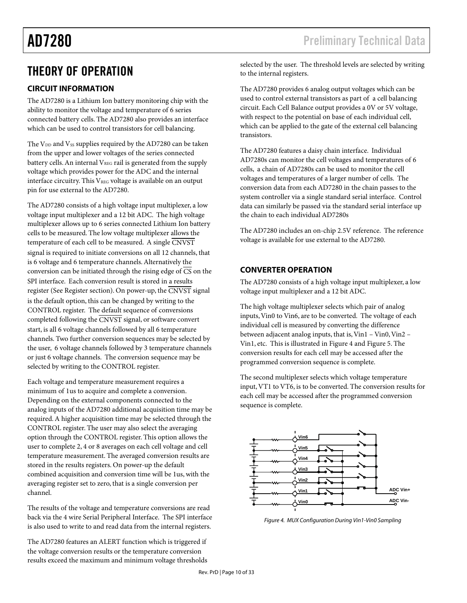# THEORY OF OPERATION

# **CIRCUIT INFORMATION**

The AD7280 is a Lithium Ion battery monitoring chip with the ability to monitor the voltage and temperature of 6 series connected battery cells. The AD7280 also provides an interface which can be used to control transistors for cell balancing.

The  $V_{DD}$  and  $V_{SS}$  supplies required by the AD7280 can be taken from the upper and lower voltages of the series connected battery cells. An internal  $V_{REG}$  rail is generated from the supply voltage which provides power for the ADC and the internal interface circuitry. This  $V_{REG}$  voltage is available on an output pin for use external to the AD7280.

The AD7280 consists of a high voltage input multiplexer, a low voltage input multiplexer and a 12 bit ADC. The high voltage multiplexer allows up to 6 series connected Lithium Ion battery cells to be measured. The low voltage multiplexer allows the temperature of each cell to be measured. A single CNVST signal is required to initiate conversions on all 12 channels, that is 6 voltage and 6 temperature channels. Alternatively the conversion can be initiated through the rising edge of  $\overline{CS}$  on the SPI interface. Each conversion result is stored in a results register (See Register section). On power-up, the CNVST signal is the default option, this can be changed by writing to the CONTROL register. The default sequence of conversions completed following the  $\overline{\text{CNVST}}$  signal, or software convert start, is all 6 voltage channels followed by all 6 temperature channels. Two further conversion sequences may be selected by the user, 6 voltage channels followed by 3 temperature channels or just 6 voltage channels. The conversion sequence may be selected by writing to the CONTROL register.

Each voltage and temperature measurement requires a minimum of 1us to acquire and complete a conversion. Depending on the external components connected to the analog inputs of the AD7280 additional acquisition time may be required. A higher acquisition time may be selected through the CONTROL register. The user may also select the averaging option through the CONTROL register. This option allows the user to complete 2, 4 or 8 averages on each cell voltage and cell temperature measurement. The averaged conversion results are stored in the results registers. On power-up the default combined acquisition and conversion time will be 1us, with the averaging register set to zero, that is a single conversion per channel.

The results of the voltage and temperature conversions are read back via the 4 wire Serial Peripheral Interface. The SPI interface is also used to write to and read data from the internal registers.

The AD7280 features an ALERT function which is triggered if the voltage conversion results or the temperature conversion results exceed the maximum and minimum voltage thresholds selected by the user. The threshold levels are selected by writing to the internal registers.

The AD7280 provides 6 analog output voltages which can be used to control external transistors as part of a cell balancing circuit. Each Cell Balance output provides a 0V or 5V voltage, with respect to the potential on base of each individual cell, which can be applied to the gate of the external cell balancing transistors.

The AD7280 features a daisy chain interface. Individual AD7280s can monitor the cell voltages and temperatures of 6 cells, a chain of AD7280s can be used to monitor the cell voltages and temperatures of a larger number of cells. The conversion data from each AD7280 in the chain passes to the system controller via a single standard serial interface. Control data can similarly be passed via the standard serial interface up the chain to each individual AD7280s

The AD7280 includes an on-chip 2.5V reference. The reference voltage is available for use external to the AD7280.

# **CONVERTER OPERATION**

The AD7280 consists of a high voltage input multiplexer, a low voltage input multiplexer and a 12 bit ADC.

The high voltage multiplexer selects which pair of analog inputs, Vin0 to Vin6, are to be converted. The voltage of each individual cell is measured by converting the difference between adjacent analog inputs, that is, Vin1 – Vin0, Vin2 – Vin1, etc. This is illustrated in Figure 4 and Figure 5. The conversion results for each cell may be accessed after the programmed conversion sequence is complete.

The second multiplexer selects which voltage temperature input, VT1 to VT6, is to be converted. The conversion results for each cell may be accessed after the programmed conversion sequence is complete.



Figure 4. MUX Configuration During Vin1-Vin0 Sampling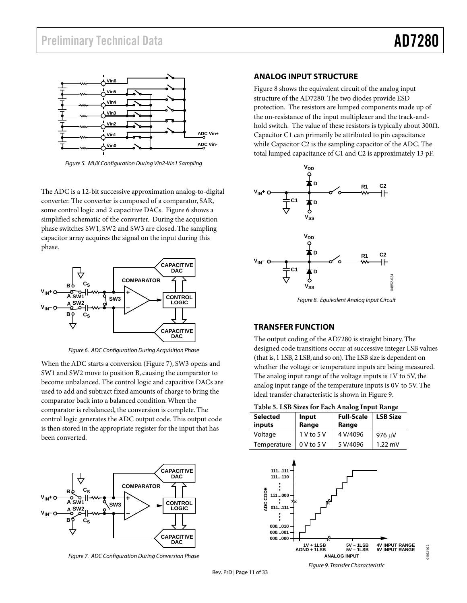**ADC Vin+ ADC Vin-** Figure 8 shows the equivalent circuit of the analog input structure of the AD7280. The two diodes provide ESD protection. The resistors are lumped components made up of the on-resistance of the input multiplexer and the track-andhold switch. The value of these resistors is typically about 300Ω. Capacitor C1 can primarily be attributed to pin capacitance while Capacitor C2 is the sampling capacitor of the ADC. The total lumped capacitance of C1 and C2 is approximately 13 pF.



Figure 8. Equivalent Analog Input Circuit

## **TRANSFER FUNCTION**

The output coding of the AD7280 is straight binary. The designed code transitions occur at successive integer LSB values (that is, 1 LSB, 2 LSB, and so on). The LSB size is dependent on whether the voltage or temperature inputs are being measured. The analog input range of the voltage inputs is 1V to 5V, the analog input range of the temperature inputs is 0V to 5V. The ideal transfer characteristic is shown in Figure 9.

| <b>Selected</b><br>inputs | Input<br>Range | <b>Full-Scale</b><br>Range | <b>LSB Size</b>   |
|---------------------------|----------------|----------------------------|-------------------|
| Voltage                   | 1 V to 5 V     | 4 V/4096                   | 976 μV            |
| Temperature               | $0$ V to 5 V   | 5 V/4096                   | $1.22 \text{ mV}$ |



Figure 5. MUX Configuration During Vin2-Vin1 Sampling

**Vin0 Vin1 Vin2 Vin3 Vin4 Vin5 Vin6**

The ADC is a 12-bit successive approximation analog-to-digital converter. The converter is composed of a comparator, SAR, some control logic and 2 capacitive DACs. Figure 6 shows a simplified schematic of the converter. During the acquisition phase switches SW1, SW2 and SW3 are closed. The sampling capacitor array acquires the signal on the input during this phase.



Figure 6. ADC Configuration During Acquisition Phase

When the ADC starts a conversion (Figure 7), SW3 opens and SW1 and SW2 move to position B, causing the comparator to become unbalanced. The control logic and capacitive DACs are used to add and subtract fixed amounts of charge to bring the comparator back into a balanced condition. When the comparator is rebalanced, the conversion is complete. The control logic generates the ADC output code. This output code is then stored in the appropriate register for the input that has been converted.



Figure 7. ADC Configuration During Conversion Phase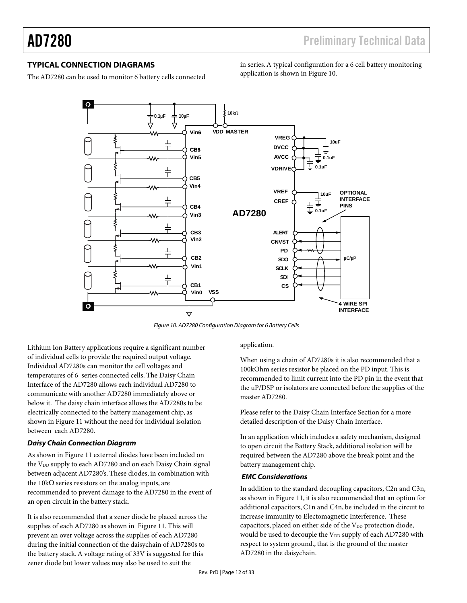# **TYPICAL CONNECTION DIAGRAMS**

The AD7280 can be used to monitor 6 battery cells connected

in series. A typical configuration for a 6 cell battery monitoring application is shown in Figure 10.



Figure 10. AD7280 Configuration Diagram for 6 Battery Cells

Lithium Ion Battery applications require a significant number of individual cells to provide the required output voltage. Individual AD7280s can monitor the cell voltages and temperatures of 6 series connected cells. The Daisy Chain Interface of the AD7280 allows each individual AD7280 to communicate with another AD7280 immediately above or below it. The daisy chain interface allows the AD7280s to be electrically connected to the battery management chip, as shown in Figure 11 without the need for individual isolation between each AD7280.

# **Daisy Chain Connection Diagram**

As shown in Figure 11 external diodes have been included on the V<sub>DD</sub> supply to each AD7280 and on each Daisy Chain signal between adjacent AD7280's. These diodes, in combination with the 10kΩ series resistors on the analog inputs, are recommended to prevent damage to the AD7280 in the event of an open circuit in the battery stack.

It is also recommended that a zener diode be placed across the supplies of each AD7280 as shown in Figure 11. This will prevent an over voltage across the supplies of each AD7280 during the initial connection of the daisychain of AD7280s to the battery stack. A voltage rating of 33V is suggested for this zener diode but lower values may also be used to suit the

#### application.

When using a chain of AD7280s it is also recommended that a 100kOhm series resistor be placed on the PD input. This is recommended to limit current into the PD pin in the event that the uP/DSP or isolators are connected before the supplies of the master AD7280.

Please refer to the Daisy Chain Interface Section for a more detailed description of the Daisy Chain Interface.

In an application which includes a safety mechanism, designed to open circuit the Battery Stack, additional isolation will be required between the AD7280 above the break point and the battery management chip.

## **EMC Considerations**

In addition to the standard decoupling capacitors, C2n and C3n, as shown in Figure 11, it is also recommended that an option for additional capacitors, C1n and C4n, be included in the circuit to increase immunity to Electomagnetic Interference. These capacitors, placed on either side of the V<sub>DD</sub> protection diode, would be used to decouple the V<sub>DD</sub> supply of each AD7280 with respect to system ground., that is the ground of the master AD7280 in the daisychain.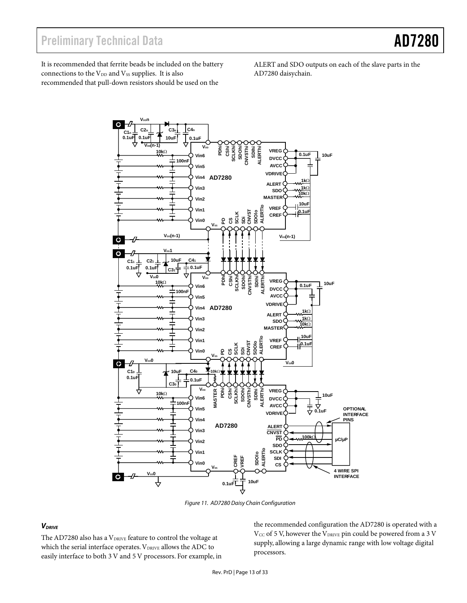It is recommended that ferrite beads be included on the battery connections to the V<sub>DD</sub> and V<sub>SS</sub> supplies. It is also recommended that pull-down resistors should be used on the

ALERT and SDO outputs on each of the slave parts in the AD7280 daisychain.



Figure 11. AD7280 Daisy Chain Configuration

#### **V**DRIVE

The AD7280 also has a VDRIVE feature to control the voltage at which the serial interface operates. VDRIVE allows the ADC to easily interface to both 3 V and 5 V processors. For example, in the recommended configuration the AD7280 is operated with a  $V_{CC}$  of 5 V, however the  $V_{DRIVE}$  pin could be powered from a 3 V supply, allowing a large dynamic range with low voltage digital processors.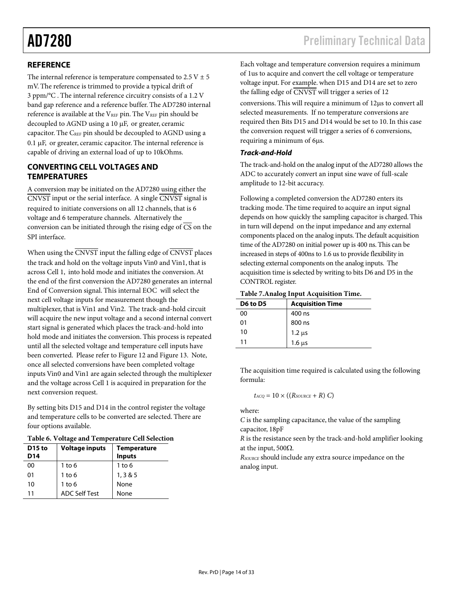# **REFERENCE**

The internal reference is temperature compensated to  $2.5 V \pm 5$ mV. The reference is trimmed to provide a typical drift of 3 ppm/°C . The internal reference circuitry consists of a 1.2 V band gap reference and a reference buffer. The AD7280 internal reference is available at the  $V_{REF}$  pin. The  $V_{REF}$  pin should be decoupled to AGND using a 10 µF, or greater, ceramic capacitor. The CREF pin should be decoupled to AGND using a 0.1 µF, or greater, ceramic capacitor. The internal reference is capable of driving an external load of up to 10kOhms.

# **CONVERTING CELL VOLTAGES AND TEMPERATURES**

A conversion may be initiated on the AD7280 using either the  $\overline{\text{CNVST}}$  input or the serial interface. A single  $\overline{\text{CNVST}}$  signal is required to initiate conversions on all 12 channels, that is 6 voltage and 6 temperature channels. Alternatively the conversion can be initiated through the rising edge of  $\overline{CS}$  on the SPI interface.

When using the  $\overline{\text{CNVST}}$  input the falling edge of  $\overline{\text{CNVST}}$  places the track and hold on the voltage inputs Vin0 and Vin1, that is across Cell 1, into hold mode and initiates the conversion. At the end of the first conversion the AD7280 generates an internal End of Conversion signal. This internal EOC will select the next cell voltage inputs for measurement though the multiplexer, that is Vin1 and Vin2. The track-and-hold circuit will acquire the new input voltage and a second internal convert start signal is generated which places the track-and-hold into hold mode and initiates the conversion. This process is repeated until all the selected voltage and temperature cell inputs have been converted. Please refer to Figure 12 and Figure 13. Note, once all selected conversions have been completed voltage inputs Vin0 and Vin1 are again selected through the multiplexer and the voltage across Cell 1 is acquired in preparation for the next conversion request.

By setting bits D15 and D14 in the control register the voltage and temperature cells to be converted are selected. There are four options available.

|  |  | Table 6. Voltage and Temperature Cell Selection |  |  |
|--|--|-------------------------------------------------|--|--|
|--|--|-------------------------------------------------|--|--|

| D <sub>15</sub> to<br>D14 | <b>Voltage inputs</b> | <b>Temperature</b><br><b>Inputs</b> |
|---------------------------|-----------------------|-------------------------------------|
| 00                        | $1$ to 6              | $1$ to 6                            |
| 01                        | $1$ to $6$            | 1, 3 & 5                            |
| 10                        | $1$ to $6$            | None                                |
| 11                        | <b>ADC Self Test</b>  | None                                |

Each voltage and temperature conversion requires a minimum of 1us to acquire and convert the cell voltage or temperature voltage input. For example. when D15 and D14 are set to zero the falling edge of CNVST will trigger a series of 12 conversions. This will require a minimum of 12µs to convert all selected measurements. If no temperature conversions are required then Bits D15 and D14 would be set to 10. In this case the conversion request will trigger a series of 6 conversions, requiring a minimum of 6µs.

## **Track-and-Hold**

The track-and-hold on the analog input of the AD7280 allows the ADC to accurately convert an input sine wave of full-scale amplitude to 12-bit accuracy.

Following a completed conversion the AD7280 enters its tracking mode. The time required to acquire an input signal depends on how quickly the sampling capacitor is charged. This in turn will depend on the input impedance and any external components placed on the analog inputs. The default acquisition time of the AD7280 on initial power up is 400 ns. This can be increased in steps of 400ns to 1.6 us to provide flexibility in selecting external components on the analog inputs. The acquisition time is selected by writing to bits D6 and D5 in the CONTROL register.

#### **Table 7.Analog Input Acquisition Time.**

| D6 to D5 | <b>Acquisition Time</b> |
|----------|-------------------------|
| 00       | 400 ns                  |
| 01       | 800 ns                  |
| 10       | $1.2 \mu s$             |
| 11       | $1.6 \mu s$             |

The acquisition time required is calculated using the following formula:

$$
t_{ACQ} = 10 \times ((R_{SOLRCE} + R) C)
$$

where:

*C* is the sampling capacitance, the value of the sampling capacitor, 18pF

*R* is the resistance seen by the track-and-hold amplifier looking at the input, 500Ω.

*RSOURCE* should include any extra source impedance on the analog input.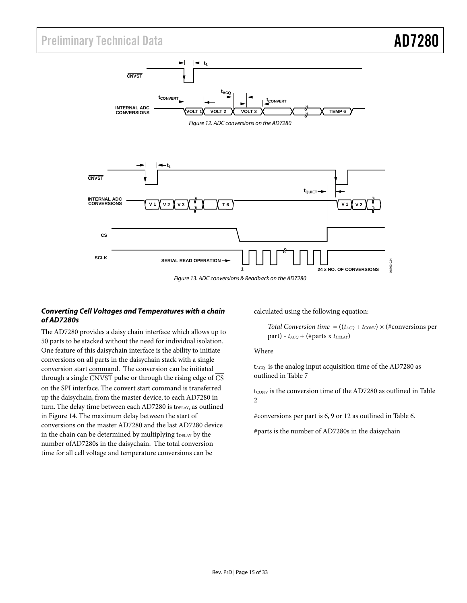# Preliminary Technical Data **AD7280**



## **Converting Cell Voltages and Temperatures with a chain of AD7280s**

The AD7280 provides a daisy chain interface which allows up to 50 parts to be stacked without the need for individual isolation. One feature of this daisychain interface is the ability to initiate conversions on all parts in the daisychain stack with a single conversion start command. The conversion can be initiated through a single  $\overline{\text{CNVST}}$  pulse or through the rising edge of  $\overline{\text{CS}}$ on the SPI interface. The convert start command is transferred up the daisychain, from the master device, to each AD7280 in turn. The delay time between each AD7280 is tDELAY, as outlined in Figure 14. The maximum delay between the start of conversions on the master AD7280 and the last AD7280 device in the chain can be determined by multiplying tDELAY by the number ofAD7280s in the daisychain. The total conversion time for all cell voltage and temperature conversions can be

calculated using the following equation:

*Total Conversion time* =  $((t_{ACQ} + t_{CONV}) \times (\# conversions per$ part) -  $t_{ACO}$  + (#parts x  $t_{DELAY}$ )

Where

 $t_{ACQ}$  is the analog input acquisition time of the AD7280 as outlined in Table 7

 $t_{\text{CONV}}$  is the conversion time of the AD7280 as outlined in Table 2

#conversions per part is 6, 9 or 12 as outlined in Table 6.

#parts is the number of AD7280s in the daisychain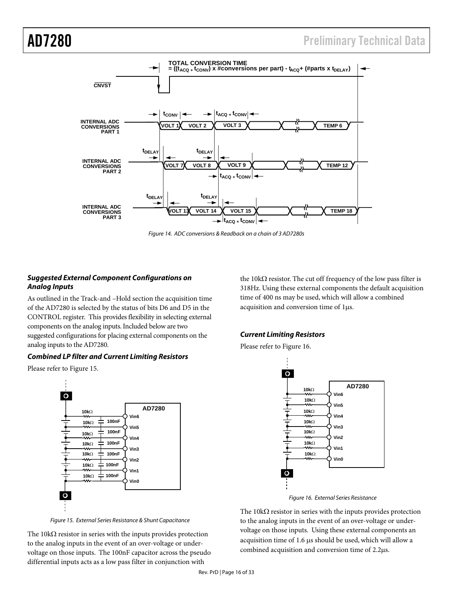

Figure 14. ADC conversions & Readback on a chain of 3 AD7280s

## **Suggested External Component Configurations on Analog Inputs**

As outlined in the Track-and –Hold section the acquisition time of the AD7280 is selected by the status of bits D6 and D5 in the CONTROL register. This provides flexibility in selecting external components on the analog inputs. Included below are two suggested configurations for placing external components on the analog inputs to the AD7280.

## **Combined LP filter and Current Limiting Resistors**

Please refer to Figure 15.



Figure 15. External Series Resistance & Shunt Capacitance

The  $10k\Omega$  resistor in series with the inputs provides protection to the analog inputs in the event of an over-voltage or undervoltage on those inputs. The 100nF capacitor across the pseudo differential inputs acts as a low pass filter in conjunction with

the 10kΩ resistor. The cut off frequency of the low pass filter is 318Hz. Using these external components the default acquisition time of 400 ns may be used, which will allow a combined acquisition and conversion time of 1µs.

## **Current Limiting Resistors**

Please refer to Figure 16.



Figure 16. External Series Resistance

The 10kΩ resistor in series with the inputs provides protection to the analog inputs in the event of an over-voltage or undervoltage on those inputs. Using these external components an acquisition time of 1.6 µs should be used, which will allow a combined acquisition and conversion time of 2.2µs.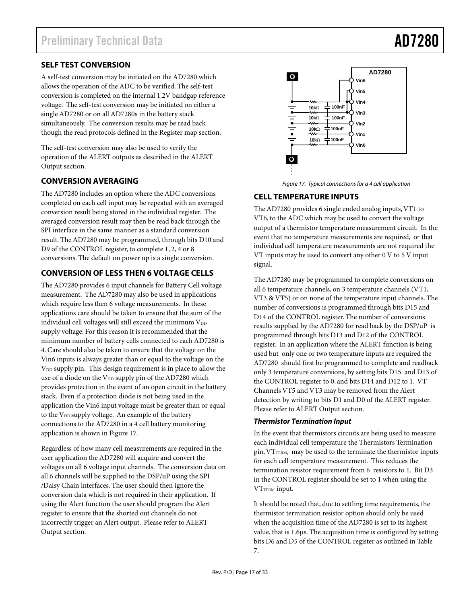# **SELF TEST CONVERSION**

A self-test conversion may be initiated on the AD7280 which allows the operation of the ADC to be verified. The self-test conversion is completed on the internal 1.2V bandgap reference voltage. The self-test conversion may be initiated on either a single AD7280 or on all AD7280s in the battery stack simultaneously. The conversion results may be read back though the read protocols defined in the Register map section.

The self-test conversion may also be used to verify the operation of the ALERT outputs as described in the ALERT Output section.

# **CONVERSION AVERAGING**

The AD7280 includes an option where the ADC conversions completed on each cell input may be repeated with an averaged conversion result being stored in the individual register. The averaged conversion result may then be read back through the SPI interface in the same manner as a standard conversion result. The AD7280 may be programmed, through bits D10 and D9 of the CONTROL register, to complete 1, 2, 4 or 8 conversions. The default on power up is a single conversion.

# **CONVERSION OF LESS THEN 6 VOLTAGE CELLS**

The AD7280 provides 6 input channels for Battery Cell voltage measurement. The AD7280 may also be used in applications which require less then 6 voltage measurements. In these applications care should be taken to ensure that the sum of the individual cell voltages will still exceed the minimum  $V_{DD}$ supply voltage. For this reason it is recommended that the minimum number of battery cells connected to each AD7280 is 4. Care should also be taken to ensure that the voltage on the Vin6 inputs is always greater than or equal to the voltage on the V<sub>DD</sub> supply pin. This design requirement is in place to allow the use of a diode on the  $V_{DD}$  supply pin of the AD7280 which provides protection in the event of an open circuit in the battery stack. Even if a protection diode is not being used in the application the Vin6 input voltage must be greater than or equal to the V<sub>DD</sub> supply voltage. An example of the battery connections to the AD7280 in a 4 cell battery monitoring application is shown in Figure 17.

Regardless of how many cell measurements are required in the user application the AD7280 will acquire and convert the voltages on all 6 voltage input channels. The conversion data on all 6 channels will be supplied to the DSP/uP using the SPI /Daisy Chain interfaces. The user should then ignore the conversion data which is not required in their application. If using the Alert function the user should program the Alert register to ensure that the shorted out channels do not incorrectly trigger an Alert output. Please refer to ALERT Output section.



Figure 17. Typical connections for a 4 cell application

# **CELL TEMPERATURE INPUTS**

The AD7280 provides 6 single ended analog inputs, VT1 to VT6, to the ADC which may be used to convert the voltage output of a thermistor temperature measurement circuit. In the event that no temperature measurements are required, or that individual cell temperature measurements are not required the VT inputs may be used to convert any other 0 V to 5 V input signal.

The AD7280 may be programmed to complete conversions on all 6 temperature channels, on 3 temperature channels (VT1, VT3 & VT5) or on none of the temperature input channels. The number of conversions is programmed through bits D15 and D14 of the CONTROL register. The number of conversions results supplied by the AD7280 for read back by the DSP/uP is programmed through bits D13 and D12 of the CONTROL register. In an application where the ALERT function is being used but only one or two temperature inputs are required the AD7280 should first be programmed to complete and readback only 3 temperature conversions, by setting bits D15 and D13 of the CONTROL register to 0, and bits D14 and D12 to 1. VT Channels VT5 and VT3 may be removed from the Alert detection by writing to bits D1 and D0 of the ALERT register. Please refer to ALERT Output section.

# **Thermistor Termination Input**

In the event that thermistors circuits are being used to measure each individual cell temperature the Thermistors Termination pin, VTTERM, may be used to the terminate the thermistor inputs for each cell temperature measurement. This reduces the termination resistor requirement from 6 resistors to 1. Bit D3 in the CONTROL register should be set to 1 when using the VT<sub>TERM</sub> input.

It should be noted that, due to settling time requirements, the thermistor termination resistor option should only be used when the acquisition time of the AD7280 is set to its highest value, that is 1.6µs. The acquisition time is configured by setting bits D6 and D5 of the CONTROL register as outlined in Table 7.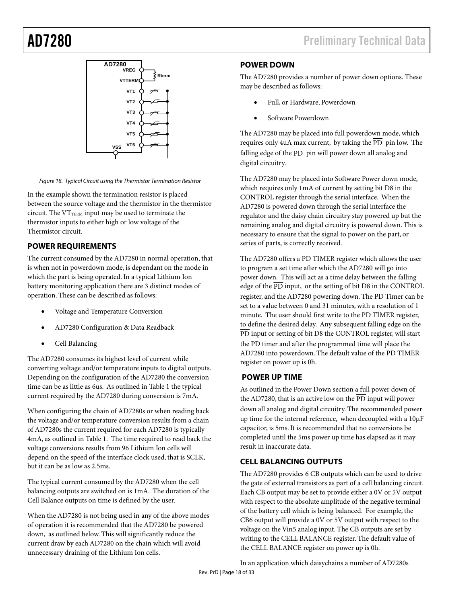

Figure 18. Typical Circuit using the Thermistor Termination Resistor

In the example shown the termination resistor is placed between the source voltage and the thermistor in the thermistor circuit. The  $VT_{TERM}$  input may be used to terminate the thermistor inputs to either high or low voltage of the Thermistor circuit.

# **POWER REQUIREMENTS**

The current consumed by the AD7280 in normal operation, that is when not in powerdown mode, is dependant on the mode in which the part is being operated. In a typical Lithium Ion battery monitoring application there are 3 distinct modes of operation. These can be described as follows:

- Voltage and Temperature Conversion
- AD7280 Configuration & Data Readback
- Cell Balancing

The AD7280 consumes its highest level of current while converting voltage and/or temperature inputs to digital outputs. Depending on the configuration of the AD7280 the conversion time can be as little as 6us. As outlined in Table 1 the typical current required by the AD7280 during conversion is 7mA.

When configuring the chain of AD7280s or when reading back the voltage and/or temperature conversion results from a chain of AD7280s the current required for each AD7280 is typically 4mA, as outlined in Table 1. The time required to read back the voltage conversions results from 96 Lithium Ion cells will depend on the speed of the interface clock used, that is SCLK, but it can be as low as 2.5ms.

The typical current consumed by the AD7280 when the cell balancing outputs are switched on is 1mA. The duration of the Cell Balance outputs on time is defined by the user.

When the AD7280 is not being used in any of the above modes of operation it is recommended that the AD7280 be powered down, as outlined below. This will significantly reduce the current draw by each AD7280 on the chain which will avoid unnecessary draining of the Lithium Ion cells.

AD7280 **AD7280** Preliminary Technical Data

## **POWER DOWN**

The AD7280 provides a number of power down options. These may be described as follows:

- Full, or Hardware, Powerdown
- Software Powerdown

The AD7280 may be placed into full powerdown mode, which requires only 4uA max current, by taking the  $\overline{PD}$  pin low. The falling edge of the  $\overline{PD}$  pin will power down all analog and digital circuitry.

The AD7280 may be placed into Software Power down mode, which requires only 1mA of current by setting bit D8 in the CONTROL register through the serial interface. When the AD7280 is powered down through the serial interface the regulator and the daisy chain circuitry stay powered up but the remaining analog and digital circuitry is powered down. This is necessary to ensure that the signal to power on the part, or series of parts, is correctly received.

The AD7280 offers a PD TIMER register which allows the user to program a set time after which the AD7280 will go into power down. This will act as a time delay between the falling edge of the  $\overline{PD}$  input, or the setting of bit D8 in the CONTROL register, and the AD7280 powering down. The PD Timer can be set to a value between 0 and 31 minutes, with a resolution of 1 minute. The user should first write to the PD TIMER register, to define the desired delay. Any subsequent falling edge on the PD input or setting of bit D8 the CONTROL register, will start the PD timer and after the programmed time will place the AD7280 into powerdown. The default value of the PD TIMER register on power up is 0h.

# **POWER UP TIME**

As outlined in the Power Down section a full power down of the AD7280, that is an active low on the  $\overline{PD}$  input will power down all analog and digital circuitry. The recommended power up time for the internal reference, when decoupled with a 10µF capacitor, is 5ms. It is recommended that no conversions be completed until the 5ms power up time has elapsed as it may result in inaccurate data.

## **CELL BALANCING OUTPUTS**

The AD7280 provides 6 CB outputs which can be used to drive the gate of external transistors as part of a cell balancing circuit. Each CB output may be set to provide either a 0V or 5V output with respect to the absolute amplitude of the negative terminal of the battery cell which is being balanced. For example, the CB6 output will provide a 0V or 5V output with respect to the voltage on the Vin5 analog input. The CB outputs are set by writing to the CELL BALANCE register. The default value of the CELL BALANCE register on power up is 0h.

In an application which daisychains a number of AD7280s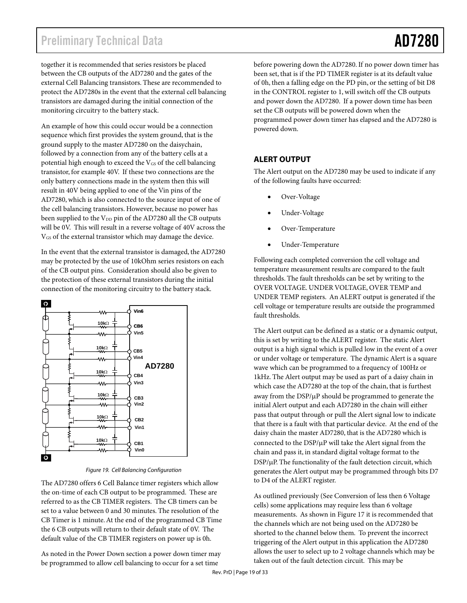# Preliminary Technical Data **AD7280**

together it is recommended that series resistors be placed between the CB outputs of the AD7280 and the gates of the external Cell Balancing transistors. These are recommended to protect the AD7280s in the event that the external cell balancing transistors are damaged during the initial connection of the monitoring circuitry to the battery stack.

An example of how this could occur would be a connection sequence which first provides the system ground, that is the ground supply to the master AD7280 on the daisychain, followed by a connection from any of the battery cells at a potential high enough to exceed the V<sub>GS</sub> of the cell balancing transistor, for example 40V. If these two connections are the only battery connections made in the system then this will result in 40V being applied to one of the Vin pins of the AD7280, which is also connected to the source input of one of the cell balancing transistors. However, because no power has been supplied to the V<sub>DD</sub> pin of the AD7280 all the CB outputs will be 0V. This will result in a reverse voltage of 40V across the VGS of the external transistor which may damage the device.

In the event that the external transistor is damaged, the AD7280 may be protected by the use of 10kOhm series resistors on each of the CB output pins. Consideration should also be given to the protection of these external transistors during the initial connection of the monitoring circuitry to the battery stack.



Figure 19. Cell Balancing Configuration

The AD7280 offers 6 Cell Balance timer registers which allow the on-time of each CB output to be programmed. These are referred to as the CB TIMER registers. The CB timers can be set to a value between 0 and 30 minutes. The resolution of the CB Timer is 1 minute. At the end of the programmed CB Time the 6 CB outputs will return to their default state of 0V. The default value of the CB TIMER registers on power up is 0h.

As noted in the Power Down section a power down timer may be programmed to allow cell balancing to occur for a set time

before powering down the AD7280. If no power down timer has been set, that is if the PD TIMER register is at its default value of 0h, then a falling edge on the PD pin, or the setting of bit D8 in the CONTROL register to 1, will switch off the CB outputs and power down the AD7280. If a power down time has been set the CB outputs will be powered down when the programmed power down timer has elapsed and the AD7280 is powered down.

# **ALERT OUTPUT**

The Alert output on the AD7280 may be used to indicate if any of the following faults have occurred:

- Over-Voltage
- Under-Voltage
- Over-Temperature
- Under-Temperature

Following each completed conversion the cell voltage and temperature measurement results are compared to the fault thresholds. The fault thresholds can be set by writing to the OVER VOLTAGE. UNDER VOLTAGE, OVER TEMP and UNDER TEMP registers. An ALERT output is generated if the cell voltage or temperature results are outside the programmed fault thresholds.

The Alert output can be defined as a static or a dynamic output, this is set by writing to the ALERT register. The static Alert output is a high signal which is pulled low in the event of a over or under voltage or temperature. The dynamic Alert is a square wave which can be programmed to a frequency of 100Hz or 1kHz. The Alert output may be used as part of a daisy chain in which case the AD7280 at the top of the chain, that is furthest away from the  $\text{DSP}/\mu\text{P}$  should be programmed to generate the initial Alert output and each AD7280 in the chain will either pass that output through or pull the Alert signal low to indicate that there is a fault with that particular device. At the end of the daisy chain the master AD7280, that is the AD7280 which is connected to the  $\text{DSP}/\mu\text{P}$  will take the Alert signal from the chain and pass it, in standard digital voltage format to the DSP/µP. The functionality of the fault detection circuit, which generates the Alert output may be programmed through bits D7 to D4 of the ALERT register.

As outlined previously (See Conversion of less then 6 Voltage cells) some applications may require less than 6 voltage measurements. As shown in Figure 17 it is recommended that the channels which are not being used on the AD7280 be shorted to the channel below them. To prevent the incorrect triggering of the Alert output in this application the AD7280 allows the user to select up to 2 voltage channels which may be taken out of the fault detection circuit. This may be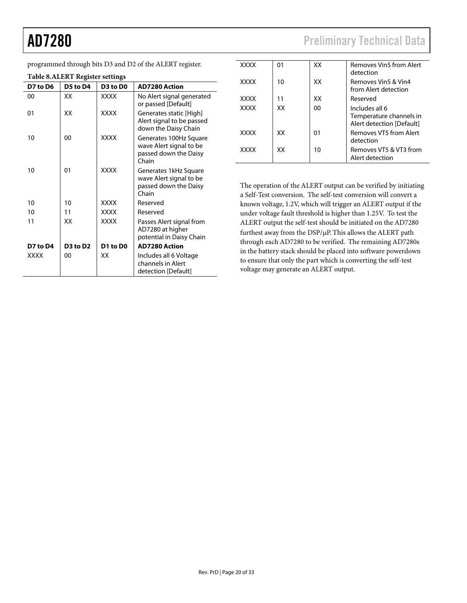L,

AD7280 Preliminary Technical Data

| programmed through bits D3 and D2 of the ALERT register. |  |  |  |
|----------------------------------------------------------|--|--|--|
|                                                          |  |  |  |

**D7 to D4 D3 to D2 D1 to D0 AD7280 Action** XXXX 00 XXX Includes all 6 Voltage

channels in Alert detection [Default]

|          | <b>Table 8.ALERT Register settings</b> |             |                                                                                    |             |    |    | detection                                                                                                                                                                                                     |
|----------|----------------------------------------|-------------|------------------------------------------------------------------------------------|-------------|----|----|---------------------------------------------------------------------------------------------------------------------------------------------------------------------------------------------------------------|
| D7 to D6 | D5 to D4                               | D3 to D0    | <b>AD7280 Action</b>                                                               | <b>XXXX</b> | 10 | XX | Removes Vin5 & Vin4<br>from Alert detection                                                                                                                                                                   |
| 00       | <b>XX</b>                              | <b>XXXX</b> | No Alert signal generated<br>or passed [Default]                                   | <b>XXXX</b> | 11 | XX | Reserved                                                                                                                                                                                                      |
| 01       | XX                                     | <b>XXXX</b> | Generates static [High]<br>Alert signal to be passed<br>down the Daisy Chain       | <b>XXXX</b> | XX | 00 | Includes all 6<br>Temperature channels in<br>Alert detection [Default]                                                                                                                                        |
| 10       | 00                                     | XXXX        | Generates 100Hz Square                                                             | <b>XXXX</b> | XX | 01 | Removes VT5 from Alert<br>detection                                                                                                                                                                           |
|          |                                        |             | wave Alert signal to be<br>passed down the Daisy<br>Chain                          | <b>XXXX</b> | XX | 10 | Removes VT5 & VT3 from<br>Alert detection                                                                                                                                                                     |
| 10       | 01                                     | <b>XXXX</b> | Generates 1kHz Square<br>wave Alert signal to be<br>passed down the Daisy<br>Chain |             |    |    | The operation of the ALERT output can be verified by initiating<br>a Self-Test conversion. The self-test conversion will convert a                                                                            |
| 10       | 10                                     | XXXX        | Reserved                                                                           |             |    |    | known voltage, 1.2V, which will trigger an ALERT output if the                                                                                                                                                |
| 10       | 11                                     | <b>XXXX</b> | Reserved                                                                           |             |    |    | under voltage fault threshold is higher than 1.25V. To test the                                                                                                                                               |
| 11       | XX                                     | <b>XXXX</b> | Passes Alert signal from<br>AD7280 at higher<br>potential in Daisy Chain           |             |    |    | ALERT output the self-test should be initiated on the AD7280<br>furthest away from the DSP/µP. This allows the ALERT path<br>there the real $\Lambda$ D7200 to be contacted. The name in the $\Lambda$ D7200. |

will convert a R<sup>T</sup> output if the W. To test the In the AD7280 ALERT path through each AD7280 to be verified. The remaining AD7280s in the battery stack should be placed into software powerdown to ensure that only the part which is converting the self-test voltage may generate an ALERT output.

XXXX 01 XX Removes Vin5 from Alert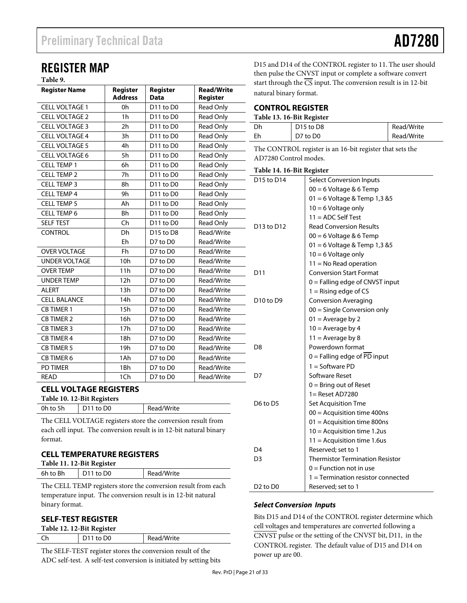# REGISTER MAP

# **Table 9.**

| <b>Register Name</b>          | <b>Register</b><br><b>Address</b> | Register<br><b>Data</b>           | <b>Read/Write</b><br>Register |
|-------------------------------|-----------------------------------|-----------------------------------|-------------------------------|
| <b>CELL VOLTAGE 1</b>         | 0h                                | D11 to D0                         | <b>Read Only</b>              |
| <b>CELL VOLTAGE 2</b>         | 1 <sub>h</sub>                    | D <sub>11</sub> to D <sub>0</sub> | Read Only                     |
| <b>CELL VOLTAGE 3</b>         | 2h                                | D <sub>11</sub> to D <sub>0</sub> | <b>Read Only</b>              |
| <b>CELL VOLTAGE 4</b>         | 3h                                | D <sub>11</sub> to D <sub>0</sub> | <b>Read Only</b>              |
| <b>CELL VOLTAGE 5</b>         | 4h                                | D <sub>11</sub> to D <sub>0</sub> | <b>Read Only</b>              |
| CELL VOLTAGE 6                | 5h                                | D <sub>11</sub> to D <sub>0</sub> | <b>Read Only</b>              |
| <b>CELL TEMP 1</b>            | 6h                                | D <sub>11</sub> to D <sub>0</sub> | <b>Read Only</b>              |
| <b>CELL TEMP 2</b>            | 7h                                | D11 to D0                         | Read Only                     |
| <b>CELL TEMP 3</b>            | 8h                                | D <sub>11</sub> to D <sub>0</sub> | <b>Read Only</b>              |
| <b>CELL TEMP 4</b>            | 9h                                | D <sub>11</sub> to D <sub>0</sub> | Read Only                     |
| <b>CELL TEMP 5</b>            | Ah                                | D <sub>11</sub> to D <sub>0</sub> | <b>Read Only</b>              |
| <b>CELL TEMP 6</b>            | <b>Bh</b>                         | D <sub>11</sub> to D <sub>0</sub> | <b>Read Only</b>              |
| <b>SELF TEST</b>              | Ch                                | D11 to D0                         | Read Only                     |
| <b>CONTROL</b>                | Dh                                | D <sub>15</sub> to D <sub>8</sub> | Read/Write                    |
|                               | Eh                                | D7 to D0                          | Read/Write                    |
| <b>OVER VOLTAGE</b>           | Fh                                | D7 to D0                          | Read/Write                    |
| <b>UNDER VOLTAGE</b>          | 10h                               | D7 to D0                          | Read/Write                    |
| <b>OVER TEMP</b>              | 11h                               | D7 to D0                          | Read/Write                    |
| <b>UNDER TEMP</b>             | 12h                               | D7 to D0                          | Read/Write                    |
| <b>ALERT</b>                  | 13h                               | D7 to D0                          | Read/Write                    |
| <b>CELL BALANCE</b>           | 14h                               | D7 to D0                          | Read/Write                    |
| <b>CB TIMER 1</b>             | 15h                               | D7 to D0                          | Read/Write                    |
| <b>CB TIMER 2</b>             | 16h                               | D7 to D0                          | Read/Write                    |
| <b>CB TIMER 3</b>             | 17h                               | D7 to D0                          | Read/Write                    |
| <b>CB TIMER 4</b>             | 18h                               | D7 to D0                          | Read/Write                    |
| <b>CB TIMER 5</b>             | 19h                               | D7 to D0                          | Read/Write                    |
| <b>CB TIMER 6</b>             | 1Ah                               | D7 to D0                          | Read/Write                    |
| <b>PD TIMER</b>               | 1Bh                               | D7 to D0                          | Read/Write                    |
| <b>READ</b>                   | 1Ch                               | D7 to D0                          | Read/Write                    |
| <b>CELL VOLTAGE REGISTERS</b> |                                   |                                   |                               |

**Table 10. 12-Bit Registers** 

0h to 5h | D11 to D0 | Read/Write

The CELL VOLTAGE registers store the conversion result from each cell input. The conversion result is in 12-bit natural binary format.

| <b>CELL TEMPERATURE REGISTERS</b> |
|-----------------------------------|
| Toble 11 12 Rit Degister          |

| Table 11. 12-Bit Register |             |            |  |
|---------------------------|-------------|------------|--|
| 6h to Bh                  | $D11$ to D0 | Read/Write |  |

The CELL TEMP registers store the conversion result from each temperature input. The conversion result is in 12-bit natural binary format.

# **SELF-TEST REGISTER**

| Table 12. 12-Bit Register |           |            |  |
|---------------------------|-----------|------------|--|
| .Ch                       | D11 to D0 | Read/Write |  |
|                           |           |            |  |

The SELF-TEST register stores the conversion result of the ADC self-test. A self-test conversion is initiated by setting bits D15 and D14 of the CONTROL register to 11. The user should then pulse the CNVST input or complete a software convert art through the  $\overline{\text{CS}}$  input. The conversion result is in 12-bit atural binary format.

# **CONTROL REGISTER**

# **Table 13. 16-Bit Register**

| Dh | D <sub>15</sub> to D <sub>8</sub> | Read/Write |
|----|-----------------------------------|------------|
| Fh | D7 to D0                          | Read/Write |
|    |                                   |            |

he CONTROL register is an 16-bit register that sets the D7280 Control modes.

#### **Table 14. 16-Bit Register**

| D15 to D14                       | <b>Select Conversion Inputs</b>             |
|----------------------------------|---------------------------------------------|
|                                  | $00 = 6$ Voltage & 6 Temp                   |
|                                  | 01 = 6 Voltage & Temp 1,3 & 5               |
|                                  | $10 = 6$ Voltage only                       |
|                                  | $11 = ADC$ Self Test                        |
| D13 to D12                       | <b>Read Conversion Results</b>              |
|                                  | $00 = 6$ Voltage & 6 Temp                   |
|                                  | $01 = 6$ Voltage & Temp 1,3 & 5             |
|                                  | $10 = 6$ Voltage only                       |
|                                  | $11 = No$ Read operation                    |
| D11                              | <b>Conversion Start Format</b>              |
|                                  | $0 =$ Falling edge of CNVST input           |
|                                  | $1 =$ Rising edge of CS                     |
| D10 to D9                        | <b>Conversion Averaging</b>                 |
|                                  | $00 =$ Single Conversion only               |
|                                  | $01$ = Average by 2                         |
|                                  | $10 =$ Average by 4                         |
|                                  | $11 =$ Average by 8                         |
| D8                               | Powerdown format                            |
|                                  | $0 =$ Falling edge of $\overline{PD}$ input |
|                                  | $1 =$ Software PD                           |
| D7                               | Software Reset                              |
|                                  | $0 =$ Bring out of Reset                    |
|                                  | 1= Reset AD7280                             |
| D6 to D5                         | Set Acquisition Tme                         |
|                                  | $00 =$ Acquisition time 400ns               |
|                                  | $01 =$ Acquisition time 800ns               |
|                                  | 10 = Acquisition time 1.2us                 |
|                                  | $11 =$ Acquisition time 1.6 us              |
| D4                               | Reserved; set to 1                          |
| D3                               | <b>Thermistor Termination Resistor</b>      |
|                                  | $0 =$ Function not in use                   |
|                                  | 1 = Termination resistor connected          |
| D <sub>2</sub> to D <sub>0</sub> | Reserved; set to 1                          |

# **Select Conversion Inputs**

Bits D15 and D14 of the CONTROL register determine which cell voltages and temperatures are converted following a CNVST pulse or the setting of the CNVST bit, D11, in the CONTROL register. The default value of D15 and D14 on power up are 00.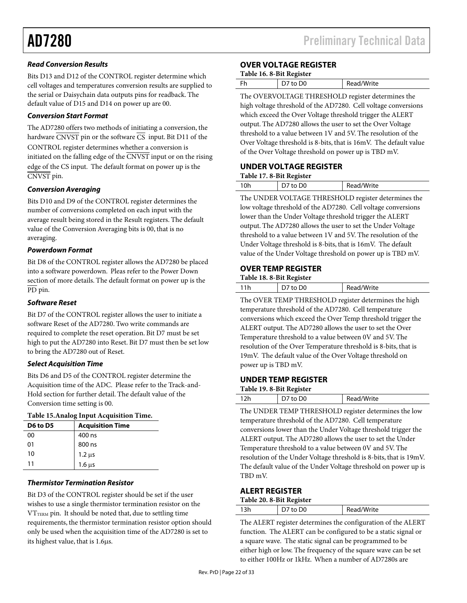# **Read Conversion Results**

Bits D13 and D12 of the CONTROL register determine which cell voltages and temperatures conversion results are supplied to the serial or Daisychain data outputs pins for readback. The default value of D15 and D14 on power up are 00.

## **Conversion Start Format**

The AD7280 offers two methods of initiating a conversion, the hardware  $\overline{\text{CNVST}}$  pin or the software  $\overline{\text{CS}}$  input. Bit D11 of the CONTROL register determines whether a conversion is initiated on the falling edge of the  $\overline{\text{CNVST}}$  input or on the rising edge of the CS input. The default format on power up is the CNVST pin.

## **Conversion Averaging**

Bits D10 and D9 of the CONTROL register determines the number of conversions completed on each input with the average result being stored in the Result registers. The default value of the Conversion Averaging bits is 00, that is no averaging.

#### **Powerdown Format**

Bit D8 of the CONTROL register allows the AD7280 be placed into a software powerdown. Pleas refer to the Power Down section of more details. The default format on power up is the PD pin.

#### **Software Reset**

Bit D7 of the CONTROL register allows the user to initiate a software Reset of the AD7280. Two write commands are required to complete the reset operation. Bit D7 must be set high to put the AD7280 into Reset. Bit D7 must then be set low to bring the AD7280 out of Reset.

# **Select Acquisition Time**

Bits D6 and D5 of the CONTROL register determine the Acquisition time of the ADC. Please refer to the Track-and-Hold section for further detail. The default value of the Conversion time setting is 00.

#### **Table 15.Analog Input Acquisition Time.**

| D6 to D5 | <b>Acquisition Time</b> |
|----------|-------------------------|
| 00       | 400 ns                  |
| 01       | 800 ns                  |
| 10       | $1.2 \mu s$             |
| 11       | $1.6 \mu s$             |

# **Thermistor Termination Resistor**

Bit D3 of the CONTROL register should be set if the user wishes to use a single thermistor termination resistor on the  $VT_{TERM}$  pin. It should be noted that, due to settling time requirements, the thermistor termination resistor option should only be used when the acquisition time of the AD7280 is set to its highest value, that is 1.6µs.

## **OVER VOLTAGE REGISTER**

| Table 16. 8-Bit Register |  |
|--------------------------|--|
|                          |  |

|   | D7 to D0 | Read/Write |
|---|----------|------------|
| m |          | $\alpha$   |

The OVERVOLTAGE THRESHOLD register determines the high voltage threshold of the AD7280. Cell voltage conversions which exceed the Over Voltage threshold trigger the ALERT output. The AD7280 allows the user to set the Over Voltage threshold to a value between 1V and 5V. The resolution of the Over Voltage threshold is 8-bits, that is 16mV. The default value of the Over Voltage threshold on power up is TBD mV.

#### **UNDER VOLTAGE REGISTER**

| Table 17.8-Bit Register |  |
|-------------------------|--|
|-------------------------|--|

| ۱0h | D <sub>0</sub> | Read/Write |
|-----|----------------|------------|
|     |                |            |

The UNDER VOLTAGE THRESHOLD register determines the low voltage threshold of the AD7280. Cell voltage conversions lower than the Under Voltage threshold trigger the ALERT output. The AD7280 allows the user to set the Under Voltage threshold to a value between 1V and 5V. The resolution of the Under Voltage threshold is 8-bits, that is 16mV. The default value of the Under Voltage threshold on power up is TBD mV.

## **OVER TEMP REGISTER**

#### **Table 18. 8-Bit Register**

|     | __ |            |
|-----|----|------------|
| 11h |    | Read/Write |
|     |    |            |

The OVER TEMP THRESHOLD register determines the high temperature threshold of the AD7280. Cell temperature conversions which exceed the Over Temp threshold trigger the ALERT output. The AD7280 allows the user to set the Over Temperature threshold to a value between 0V and 5V. The resolution of the Over Temperature threshold is 8-bits, that is 19mV. The default value of the Over Voltage threshold on power up is TBD mV.

## **UNDER TEMP REGISTER**

| Table 19. 8-Bit Register |                        |            |
|--------------------------|------------------------|------------|
| 12h                      | $\overline{)$ D7 to D0 | Read/Write |

The UNDER TEMP THRESHOLD register determines the low temperature threshold of the AD7280. Cell temperature conversions lower than the Under Voltage threshold trigger the ALERT output. The AD7280 allows the user to set the Under Temperature threshold to a value between 0V and 5V. The resolution of the Under Voltage threshold is 8-bits, that is 19mV. The default value of the Under Voltage threshold on power up is TBD mV.

## **ALERT REGISTER**

| ີ  |                |            |
|----|----------------|------------|
| 3h | D <sub>0</sub> | Read/Write |
|    |                |            |

The ALERT register determines the configuration of the ALERT function. The ALERT can be configured to be a static signal or a square wave. The static signal can be programmed to be either high or low. The frequency of the square wave can be set to either 100Hz or 1kHz. When a number of AD7280s are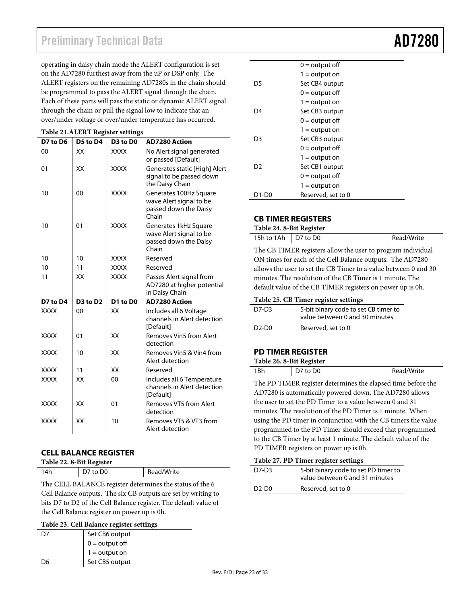# Preliminary Technical Data **AD728**

operating in daisy chain mode the ALERT configuration is set on the AD7280 furthest away from the uP or DSP only. The ALERT registers on the remaining AD7280s in the chain should be programmed to pass the ALERT signal through the chain. Each of these parts will pass the static or dynamic ALERT signal through the chain or pull the signal low to indicate that an over/under voltage or over/under temperature has occurred.

| radit 21.ALLKT Register settings |          |             |                                                                                     |  |
|----------------------------------|----------|-------------|-------------------------------------------------------------------------------------|--|
| D7 to D6                         | D5 to D4 | D3 to D0    | <b>AD7280 Action</b>                                                                |  |
| 00                               | XX       | <b>XXXX</b> | No Alert signal generated<br>or passed [Default]                                    |  |
| 01                               | XX       | <b>XXXX</b> | Generates static [High] Alert<br>signal to be passed down<br>the Daisy Chain        |  |
| 10                               | 00       | <b>XXXX</b> | Generates 100Hz Square<br>wave Alert signal to be<br>passed down the Daisy<br>Chain |  |
| 10                               | 01       | <b>XXXX</b> | Generates 1kHz Square<br>wave Alert signal to be<br>passed down the Daisy<br>Chain  |  |
| 10                               | 10       | <b>XXXX</b> | Reserved                                                                            |  |
| 10                               | 11       | <b>XXXX</b> | Reserved                                                                            |  |
| 11                               | XX       | <b>XXXX</b> | Passes Alert signal from<br>AD7280 at higher potential<br>in Daisy Chain            |  |
| D7 to D4                         | D3 to D2 | D1 to D0    | <b>AD7280 Action</b>                                                                |  |
| <b>XXXX</b>                      | 00       | XX          | Includes all 6 Voltage<br>channels in Alert detection<br>[Default]                  |  |
| <b>XXXX</b>                      | 01       | XX          | Removes Vin5 from Alert<br>detection                                                |  |
| <b>XXXX</b>                      | 10       | XX          | Removes Vin5 & Vin4 from<br>Alert detection                                         |  |
| xxxx                             | 11       | XX          | Reserved                                                                            |  |
| <b>XXXX</b>                      | XX       | 00          | Includes all 6 Temperature<br>channels in Alert detection<br>[Default]              |  |
| <b>XXXX</b>                      | XX       | 01          | Removes VT5 from Alert<br>detection                                                 |  |
| <b>XXXX</b>                      | XX       | 10          | Removes VT5 & VT3 from<br>Alert detection                                           |  |

#### **Table 21.ALERT Register settings**

# **CELL BALANCE REGISTER**

| Table 22. 8-Bit Register |          |            |
|--------------------------|----------|------------|
| 14h                      | D7 to D0 | Read/Write |

The CELL BALANCE register determines the status of the 6 Cell Balance outputs. The six CB outputs are set by writing to bits D7 to D2 of the Cell Balance register. The default value of the Cell Balance register on power up is 0h.

#### **Table 23. Cell Balance register settings**

| D7 | Set CB6 output   |
|----|------------------|
|    | $0 =$ output off |
|    | $1 =$ output on  |
| D6 | Set CB5 output   |

|       | $0 =$ output off   |
|-------|--------------------|
|       | $1 =$ output on    |
| D5    | Set CB4 output     |
|       | $0 =$ output off   |
|       | $1 =$ output on    |
| D4    | Set CB3 output     |
|       | $0 =$ output off   |
|       | $1 =$ output on    |
| D3    | Set CB3 output     |
|       | $0 =$ output off   |
|       | $1 =$ output on    |
| D2    | Set CB1 output     |
|       | $0 =$ output off   |
|       | $1 =$ output on    |
| 01-01 | Reserved, set to 0 |

## **CB TIMER REGISTERS**

**Table 24. 8-Bit Register** 

15h to 1Ah D7 to D0 Read/Write The CB TIMER registers allow the user to program individual ON times for each of the Cell Balance outputs. The AD7280 allows the user to set the CB Timer to a value between 0 and 30 minutes. The resolution of the CB Timer is 1 minute. The default value of the CB TIMER registers on power up is 0h.

#### **Table 25. CB Timer register settings**

| $D7-D3$ | 5-bit binary code to set CB timer to<br>value between 0 and 30 minutes |
|---------|------------------------------------------------------------------------|
| $D2-D0$ | Reserved, set to 0                                                     |

# **PD TIMER REGISTER**

| Table 26. 8-Bit Register |                  |            |
|--------------------------|------------------|------------|
| 1Bh                      | $\vert$ D7 to D0 | Read/Write |

The PD TIMER register determines the elapsed time before the AD7280 is automatically powered down. The AD7280 allows the user to set the PD Timer to a value between 0 and 31 minutes. The resolution of the PD Timer is 1 minute. When using the PD timer in conjunction with the CB timers the value programmed to the PD Timer should exceed that programmed to the CB Timer by at least 1 minute. The default value of the PD TIMER registers on power up is 0h.

#### **Table 27. PD Timer register settings**

| D7-D3   | 5-bit binary code to set PD timer to |
|---------|--------------------------------------|
|         | value between 0 and 31 minutes       |
| $D2-D0$ | Reserved, set to 0                   |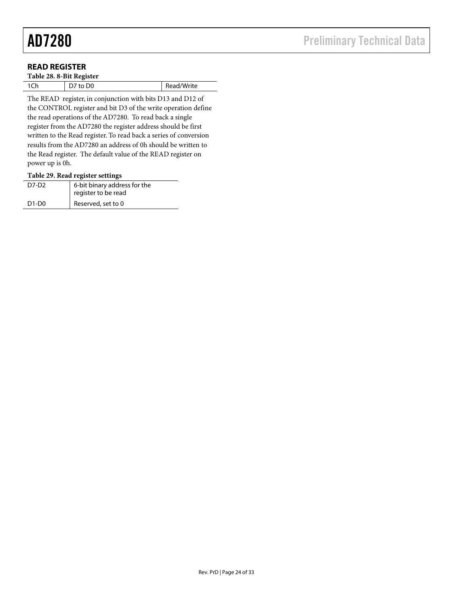# **READ REGISTER**

| Table 28. 8-Bit Register |          |            |  |  |  |  |  |  |
|--------------------------|----------|------------|--|--|--|--|--|--|
| 1Ch                      | D7 to D0 | Read/Write |  |  |  |  |  |  |
|                          |          |            |  |  |  |  |  |  |

The READ register, in conjunction with bits D13 and D12 of the CONTROL register and bit D3 of the write operation define the read operations of the AD7280. To read back a single register from the AD7280 the register address should be first written to the Read register. To read back a series of conversion results from the AD7280 an address of 0h should be written to the Read register. The default value of the READ register on power up is 0h.

#### **Table 29. Read register settings**

| D7-D2                          | 6-bit binary address for the<br>register to be read |
|--------------------------------|-----------------------------------------------------|
| D <sub>1</sub> -D <sub>0</sub> | Reserved, set to 0                                  |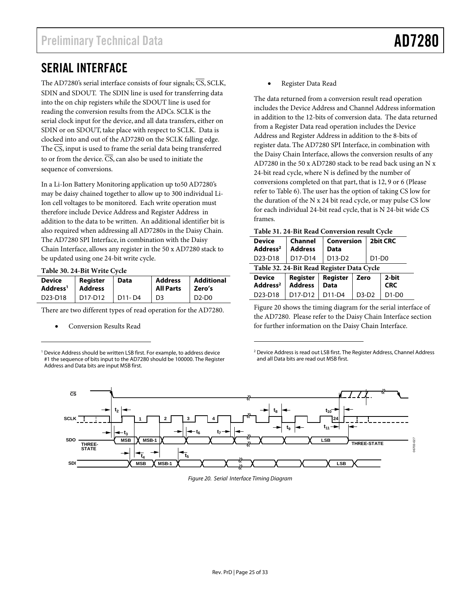# SERIAL INTERFACE

The AD7280's serial interface consists of four signals;  $\overline{CS}$ , SCLK, SDIN and SDOUT. The SDIN line is used for transferring data into the on chip registers while the SDOUT line is used for reading the conversion results from the ADCs. SCLK is the serial clock input for the device, and all data transfers, either on SDIN or on SDOUT, take place with respect to SCLK. Data is clocked into and out of the AD7280 on the SCLK falling edge. The CS, input is used to frame the serial data being transferred to or from the device.  $\overline{CS}$ , can also be used to initiate the sequence of conversions.

In a Li-Ion Battery Monitoring application up to50 AD7280's may be daisy chained together to allow up to 300 individual Li-Ion cell voltages to be monitored. Each write operation must therefore include Device Address and Register Address in addition to the data to be written. An additional identifier bit is also required when addressing all AD7280s in the Daisy Chain. The AD7280 SPI Interface, in combination with the Daisy Chain Interface, allows any register in the 50 x AD7280 stack to be updated using one 24-bit write cycle.

**Table 30. 24-Bit Write Cycle** 

1

| Device               | Register       | Data   | <b>Address</b>   | Additional |  |
|----------------------|----------------|--------|------------------|------------|--|
| Address <sup>1</sup> | <b>Address</b> |        | <b>All Parts</b> | Zero's     |  |
| D23-D18              | D17-D12        | D11-D4 | D3               | $D2-D0$    |  |

There are two different types of read operation for the AD7280.

• Conversion Results Read

<sup>1</sup> Device Address should be written LSB first. For example, to address device #1 the sequence of bits input to the AD7280 should be 100000. The Register Address and Data bits are input MSB first.

• Register Data Read

The data returned from a conversion result read operation includes the Device Address and Channel Address information in addition to the 12-bits of conversion data. The data returned from a Register Data read operation includes the Device Address and Register Address in addition to the 8-bits of register data. The AD7280 SPI Interface, in combination with the Daisy Chain Interface, allows the conversion results of any AD7280 in the 50 x AD7280 stack to be read back using an N x 24-bit read cycle, where N is defined by the number of conversions completed on that part, that is 12, 9 or 6 (Please refer to Table 6). The user has the option of taking CS low for the duration of the N x 24 bit read cycle, or may pulse CS low for each individual 24-bit read cycle, that is N 24-bit wide CS frames.

|  | Table 31. 24-Bit Read Conversion result Cycle |  |  |
|--|-----------------------------------------------|--|--|
|--|-----------------------------------------------|--|--|

| Twore $\sigma$ is a little lie of the constantial $\sigma$ , ere |                            |                         |         |         |                     |  |  |  |  |  |
|------------------------------------------------------------------|----------------------------|-------------------------|---------|---------|---------------------|--|--|--|--|--|
| <b>Device</b><br>Address <sup>2</sup>                            | Channel<br><b>Address</b>  | Conversion<br>Data      |         |         | 2bit CRC            |  |  |  |  |  |
| D <sub>23</sub> -D <sub>18</sub>                                 | D17-D14                    | D13-D2                  |         | $D1-D0$ |                     |  |  |  |  |  |
| Table 32. 24-Bit Read Register Data Cycle                        |                            |                         |         |         |                     |  |  |  |  |  |
| <b>Device</b><br>Address <sup>2</sup>                            | Register<br><b>Address</b> | Register<br><b>Data</b> | Zero    |         | 2-bit<br><b>CRC</b> |  |  |  |  |  |
| D <sub>23</sub> -D <sub>18</sub>                                 | D17-D12                    | D11-D4                  | $D3-D2$ |         | $D1-D0$             |  |  |  |  |  |

Figure 20 shows the timing diagram for the serial interface of the AD7280. Please refer to the Daisy Chain Interface section for further information on the Daisy Chain Interface.

2 Device Address is read out LSB first. The Register Address, Channel Address and all Data bits are read out MSB first.



 $\overline{a}$ 

Figure 20. Serial Interface Timing Diagram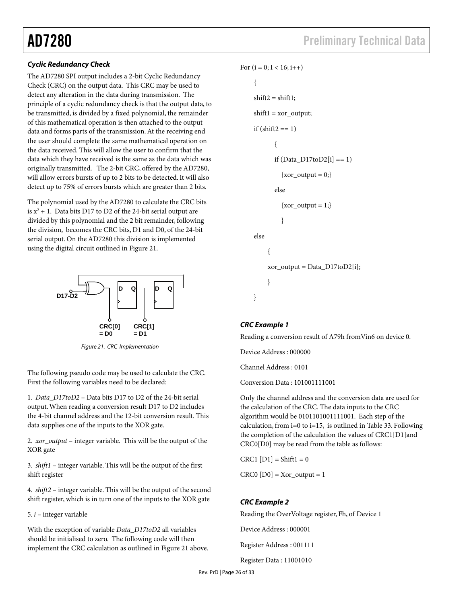# **Cyclic Redundancy Check**

The AD7280 SPI output includes a 2-bit Cyclic Redundancy Check (CRC) on the output data. This CRC may be used to detect any alteration in the data during transmission. The principle of a cyclic redundancy check is that the output data, to be transmitted, is divided by a fixed polynomial, the remainder of this mathematical operation is then attached to the output data and forms parts of the transmission. At the receiving end the user should complete the same mathematical operation on the data received. This will allow the user to confirm that the data which they have received is the same as the data which was originally transmitted. The 2-bit CRC, offered by the AD7280, will allow errors bursts of up to 2 bits to be detected. It will also detect up to 75% of errors bursts which are greater than 2 bits.

The polynomial used by the AD7280 to calculate the CRC bits is  $x^2 + 1$ . Data bits D17 to D2 of the 24-bit serial output are divided by this polynomial and the 2 bit remainder, following the division, becomes the CRC bits, D1 and D0, of the 24-bit serial output. On the AD7280 this division is implemented using the digital circuit outlined in Figure 21.



Figure 21. CRC Implementation

The following pseudo code may be used to calculate the CRC. First the following variables need to be declared:

1. *Data\_D17toD2* – Data bits D17 to D2 of the 24-bit serial output. When reading a conversion result D17 to D2 includes the 4-bit channel address and the 12-bit conversion result. This data supplies one of the inputs to the XOR gate.

2. *xor\_output* – integer variable. This will be the output of the XOR gate

3. *shift1* – integer variable. This will be the output of the first shift register

4. *shift2* – integer variable. This will be the output of the second shift register, which is in turn one of the inputs to the XOR gate

5. *i* – integer variable

With the exception of variable *Data\_D17toD2* all variables should be initialised to zero. The following code will then implement the CRC calculation as outlined in Figure 21 above.

```
For (i = 0; I < 16; i++){ 
shift2 = shift1;
shift1 = xor_output;if (\text{shift2} == 1){ 
        if (Data_D17toD2[i] == 1)\{xor\_output = 0;\}else 
           \{xor\_output = 1;\}} 
else 
      { 
      xor_output = Data_D17toD2[i]; 
      } 
}
```
# **CRC Example 1**

Reading a conversion result of A79h fromVin6 on device 0.

Device Address : 000000

Channel Address : 0101

Conversion Data : 101001111001

Only the channel address and the conversion data are used for the calculation of the CRC. The data inputs to the CRC algorithm would be 0101101001111001. Each step of the calculation, from i=0 to i=15, is outlined in Table 33. Following the completion of the calculation the values of CRC1[D1]and CRC0[D0] may be read from the table as follows:

 $CRC1 [D1] = Shift1 = 0$ 

 $CRC0 [D0] = Xor_output = 1$ 

# **CRC Example 2**

Reading the OverVoltage register, Fh, of Device 1

Device Address : 000001

Register Address : 001111

Register Data : 11001010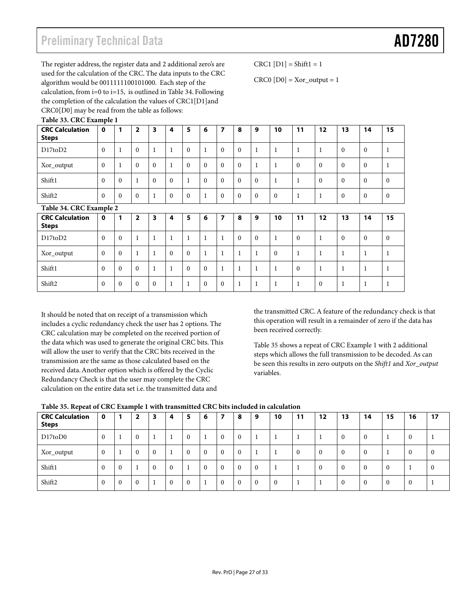# Preliminary Technical Data **AD7280**

The register address, the register data and 2 additional zero's are used for the calculation of the CRC. The data inputs to the CRC algorithm would be 0011111100101000. Each step of the calculation, from i=0 to i=15, is outlined in Table 34. Following the completion of the calculation the values of CRC1[D1]and CRC0[D0] may be read from the table as follows: **Table 33. CRC Example 1** 

 $CRC1$   $[D1] = Shift1 = 1$ 

 $CRC0 [D0] = Xor_output = 1$ 

| <b>CRC Calculation</b><br><b>Steps</b> | $\mathbf 0$ |              | $\overline{2}$          | 3            | 4            | 5            | 6            | 7            | 8            | 9            | 10           | 11           | 12           | 13           | 14           | 15           |
|----------------------------------------|-------------|--------------|-------------------------|--------------|--------------|--------------|--------------|--------------|--------------|--------------|--------------|--------------|--------------|--------------|--------------|--------------|
| D17 to D2                              | $\Omega$    | $\mathbf{1}$ | $\mathbf{0}$            | 1            | $\mathbf{1}$ | $\mathbf{0}$ | $\mathbf{1}$ | $\mathbf{0}$ | $\mathbf{0}$ | 1            | $\mathbf{1}$ | $\mathbf{1}$ | 1            | $\mathbf{0}$ | $\theta$     | 1            |
| Xor_output                             | $\Omega$    | Ι.           | $\theta$                | $\Omega$     | $\mathbf{1}$ | $\Omega$     | $\Omega$     | $\theta$     | $\theta$     | $\mathbf{1}$ | $\mathbf{1}$ | $\Omega$     | $\Omega$     | $\Omega$     | $\Omega$     | $\mathbf{1}$ |
| Shift1                                 | $\Omega$    | $\mathbf{0}$ | $\mathbf{1}$            | $\Omega$     | $\theta$     | 1            | $\mathbf{0}$ | $\mathbf{0}$ | $\mathbf{0}$ | $\mathbf{0}$ | $\mathbf{1}$ | 1            | $\mathbf{0}$ | $\mathbf{0}$ | $\theta$     | $\mathbf{0}$ |
| Shift <sub>2</sub>                     | $\Omega$    | $\theta$     | $\mathbf{0}$            | $\mathbf{1}$ | $\theta$     | $\Omega$     | $\mathbf 1$  | $\theta$     | $\mathbf{0}$ | $\Omega$     | $\theta$     | $\mathbf{1}$ | $\mathbf{1}$ | $\mathbf{0}$ | $\theta$     | $\mathbf{0}$ |
| Table 34. CRC Example 2                |             |              |                         |              |              |              |              |              |              |              |              |              |              |              |              |              |
| <b>CRC Calculation</b><br><b>Steps</b> | $\mathbf 0$ | 1            | $\overline{\mathbf{2}}$ | 3            | 4            | 5            | 6            | 7            | 8            | 9            | 10           | 11           | 12           | 13           | 14           | 15           |
| D17 to D2                              | $\Omega$    | $\Omega$     | $\mathbf{1}$            | 1            | 1            | 1            | $\mathbf{1}$ | 1            | $\mathbf{0}$ | $\mathbf{0}$ | $\mathbf{1}$ | $\mathbf{0}$ | $\mathbf{1}$ | $\mathbf{0}$ | $\theta$     | $\mathbf{0}$ |
| Xor_output                             | $\Omega$    | $\Omega$     | $\mathbf{1}$            | 1            | $\Omega$     | $\Omega$     | $\mathbf{1}$ | 1            | $\mathbf{1}$ | 1            | $\theta$     | 1            | 1            | $\mathbf{1}$ |              | 1            |
| Shift1                                 | $\Omega$    | $\Omega$     | $\mathbf{0}$            | 1            | 1            | $\mathbf{0}$ | $\mathbf{0}$ | $\mathbf{1}$ | $\mathbf{1}$ | $\mathbf{1}$ | $\mathbf{1}$ | $\mathbf{0}$ | $\mathbf{1}$ | $\mathbf{1}$ |              | 1            |
| Shift <sub>2</sub>                     | $\theta$    | $\theta$     | $\theta$                | $\Omega$     | 1            | 1            | $\theta$     | $\theta$     | 1            | $\mathbf{1}$ | $\mathbf{1}$ | 1            | $\mathbf{0}$ | $\mathbf{1}$ | $\mathbf{1}$ | 1            |

It should be noted that on receipt of a transmission which includes a cyclic redundancy check the user has 2 options. The CRC calculation may be completed on the received portion of the data which was used to generate the original CRC bits. This will allow the user to verify that the CRC bits received in the transmission are the same as those calculated based on the received data. Another option which is offered by the Cyclic Redundancy Check is that the user may complete the CRC calculation on the entire data set i.e. the transmitted data and

the transmitted CRC. A feature of the redundancy check is that this operation will result in a remainder of zero if the data has been received correctly.

Table 35 shows a repeat of CRC Example 1 with 2 additional steps which allows the full transmission to be decoded. As can be seen this results in zero outputs on the *Shift1* and *Xor\_output* variables.

| <b>CRC Calculation</b><br><b>Steps</b> | $\mathbf 0$  |              | $\overline{\mathbf{2}}$ | 3              | 4              | 5        | 6        |          | 8        | 9        | 10       | 11 | 12 | 13 | 14       | 15       | 16       | 17       |
|----------------------------------------|--------------|--------------|-------------------------|----------------|----------------|----------|----------|----------|----------|----------|----------|----|----|----|----------|----------|----------|----------|
| D17toD0                                | $\mathbf{0}$ |              | $\mathbf{0}$            |                |                | $\Omega$ |          | $\Omega$ | $\bf{0}$ | ш        |          |    |    |    |          |          | $\Omega$ |          |
| Xor_output                             | $\mathbf{0}$ |              | $\mathbf{0}$            | $\overline{0}$ | $\blacksquare$ | $\Omega$ | $\bf{0}$ | $\Omega$ | $\bf{0}$ |          |          | 0  | u  |    | $\theta$ |          | $\Omega$ | $\theta$ |
| Shift1                                 | $\mathbf{0}$ | $\mathbf{0}$ |                         | $\Omega$       | $\overline{0}$ |          | $\Omega$ | $\Omega$ | $\bf{0}$ | $\Omega$ |          |    | u  |    | $\Omega$ |          |          | $\theta$ |
| Shift2                                 | $\mathbf{0}$ | $\bf{0}$     | $\mathbf{0}$            |                | $\overline{0}$ | $\Omega$ |          | $\Omega$ | $\bf{0}$ | $\theta$ | $\Omega$ |    |    | -1 | $\Omega$ | $\Omega$ | $\Omega$ |          |

# **Table 35. Repeat of CRC Example 1 with transmitted CRC bits included in calculation**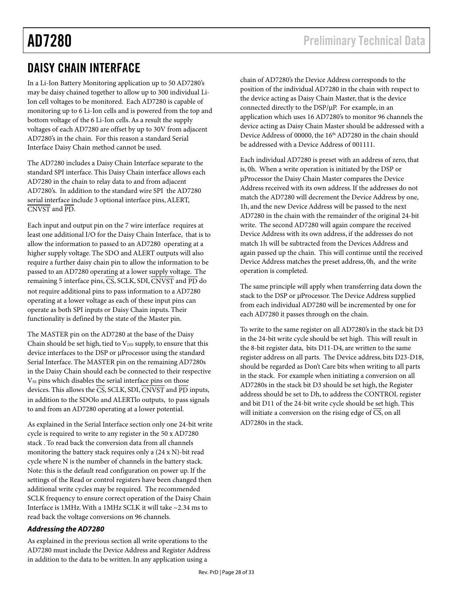# DAISY CHAIN INTERFACE

In a Li-Ion Battery Monitoring application up to 50 AD7280's may be daisy chained together to allow up to 300 individual Li-Ion cell voltages to be monitored. Each AD7280 is capable of monitoring up to 6 Li-Ion cells and is powered from the top and bottom voltage of the 6 Li-Ion cells. As a result the supply voltages of each AD7280 are offset by up to 30V from adjacent AD7280's in the chain. For this reason a standard Serial Interface Daisy Chain method cannot be used.

The AD7280 includes a Daisy Chain Interface separate to the standard SPI interface. This Daisy Chain interface allows each AD7280 in the chain to relay data to and from adjacent AD7280's. In addition to the standard wire SPI the AD7280 serial interface include 3 optional interface pins, ALERT, CNVST and PD.

Each input and output pin on the 7 wire interface requires at least one additional I/O for the Daisy Chain Interface, that is to allow the information to passed to an AD7280 operating at a higher supply voltage. The SDO and ALERT outputs will also require a further daisy chain pin to allow the information to be passed to an AD7280 operating at a lower supply voltage. The remaining 5 interface pins,  $\overline{CS}$ , SCLK, SDI,  $\overline{CNVST}$  and  $\overline{PD}$  do not require additional pins to pass information to a AD7280 operating at a lower voltage as each of these input pins can operate as both SPI inputs or Daisy Chain inputs. Their functionality is defined by the state of the Master pin.

The MASTER pin on the AD7280 at the base of the Daisy Chain should be set high, tied to  $V_{DD}$  supply, to ensure that this device interfaces to the DSP or µProcessor using the standard Serial Interface. The MASTER pin on the remaining AD7280s in the Daisy Chain should each be connected to their respective V<sub>SS</sub> pins which disables the serial interface pins on those devices. This allows the CS, SCLK, SDI, CNVST and PD inputs, in addition to the SDOlo and ALERTlo outputs, to pass signals to and from an AD7280 operating at a lower potential.

As explained in the Serial Interface section only one 24-bit write cycle is required to write to any register in the 50 x AD7280 stack . To read back the conversion data from all channels monitoring the battery stack requires only a (24 x N)-bit read cycle where N is the number of channels in the battery stack. Note: this is the default read configuration on power up. If the settings of the Read or control registers have been changed then additional write cycles may be required. The recommended SCLK frequency to ensure correct operation of the Daisy Chain Interface is 1MHz. With a 1MHz SCLK it will take ~2.34 ms to read back the voltage conversions on 96 channels.

# **Addressing the AD7280**

As explained in the previous section all write operations to the AD7280 must include the Device Address and Register Address in addition to the data to be written. In any application using a

chain of AD7280's the Device Address corresponds to the position of the individual AD7280 in the chain with respect to the device acting as Daisy Chain Master, that is the device connected directly to the DSP/µP. For example, in an application which uses 16 AD7280's to monitor 96 channels the device acting as Daisy Chain Master should be addressed with a Device Address of 00000, the 16<sup>th</sup> AD7280 in the chain should be addressed with a Device Address of 001111.

Each individual AD7280 is preset with an address of zero, that is, 0h. When a write operation is initiated by the DSP or µProcessor the Daisy Chain Master compares the Device Address received with its own address. If the addresses do not match the AD7280 will decrement the Device Address by one, 1h, and the new Device Address will be passed to the next AD7280 in the chain with the remainder of the original 24-bit write. The second AD7280 will again compare the received Device Address with its own address, if the addresses do not match 1h will be subtracted from the Devices Address and again passed up the chain. This will continue until the received Device Address matches the preset address, 0h, and the write operation is completed.

The same principle will apply when transferring data down the stack to the DSP or µProcessor. The Device Address supplied from each individual AD7280 will be incremented by one for each AD7280 it passes through on the chain.

To write to the same register on all AD7280's in the stack bit D3 in the 24-bit write cycle should be set high. This will result in the 8-bit register data, bits D11-D4, are written to the same register address on all parts. The Device address, bits D23-D18, should be regarded as Don't Care bits when writing to all parts in the stack. For example when initiating a conversion on all AD7280s in the stack bit D3 should be set high, the Register address should be set to Dh, to address the CONTROL register and bit D11 of the 24-bit write cycle should be set high. This will initiate a conversion on the rising edge of CS, on all AD7280s in the stack.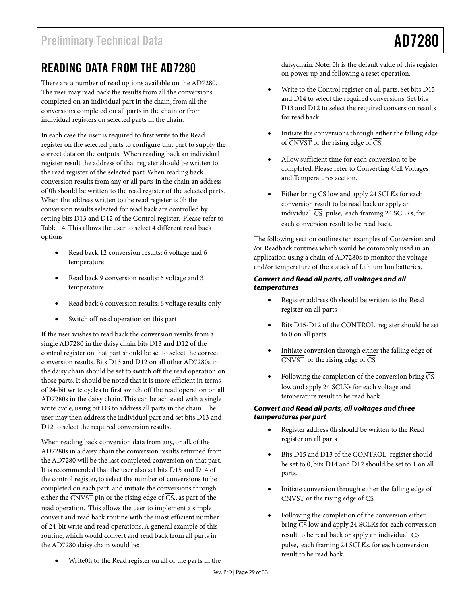# READING DATA FROM THE AD7280

There are a number of read options available on the AD7280. The user may read back the results from all the conversions completed on an individual part in the chain, from all the conversions completed on all parts in the chain or from individual registers on selected parts in the chain.

In each case the user is required to first write to the Read register on the selected parts to configure that part to supply the correct data on the outputs. When reading back an individual register result the address of that register should be written to the read register of the selected part. When reading back conversion results from any or all parts in the chain an address of 0h should be written to the read register of the selected parts. When the address written to the read register is 0h the conversion results selected for read back are controlled by setting bits D13 and D12 of the Control register. Please refer to Table 14. This allows the user to select 4 different read back options

- Read back 12 conversion results: 6 voltage and 6 temperature
- Read back 9 conversion results: 6 voltage and 3 temperature
- Read back 6 conversion results: 6 voltage results only
- Switch off read operation on this part

If the user wishes to read back the conversion results from a single AD7280 in the daisy chain bits D13 and D12 of the control register on that part should be set to select the correct conversion results. Bits D13 and D12 on all other AD7280s in the daisy chain should be set to switch off the read operation on those parts. It should be noted that it is more efficient in terms of 24-bit write cycles to first switch off the read operation on all AD7280s in the daisy chain. This can be achieved with a single write cycle, using bit D3 to address all parts in the chain. The user may then address the individual part and set bits D13 and D12 to select the required conversion results.

When reading back conversion data from any, or all, of the AD7280s in a daisy chain the conversion results returned from the AD7280 will be the last completed conversion on that part. It is recommended that the user also set bits D15 and D14 of the control register, to select the number of conversions to be completed on each part, and initiate the conversions through either the  $\overline{\text{CNVST}}$  pin or the rising edge of  $\overline{\text{CS}}$ , as part of the read operation. This allows the user to implement a simple convert and read back routine with the most efficient number of 24-bit write and read operations. A general example of this routine, which would convert and read back from all parts in the AD7280 daisy chain would be:

daisychain. Note: 0h is the default value of this register on power up and following a reset operation.

- Write to the Control register on all parts. Set bits D15 and D14 to select the required conversions. Set bits D13 and D12 to select the required conversion results for read back.
- Initiate the conversions through either the falling edge of  $\overline{\text{CNVST}}$  or the rising edge of  $\overline{\text{CS}}$ .
- Allow sufficient time for each conversion to be completed. Please refer to Converting Cell Voltages and Temperatures section.
- Either bring  $\overline{CS}$  low and apply 24 SCLKs for each conversion result to be read back or apply an individual  $\overline{CS}$  pulse, each framing 24 SCLKs, for each conversion result to be read back.

The following section outlines ten examples of Conversion and /or Readback routines which would be commonly used in an application using a chain of AD7280s to monitor the voltage and/or temperature of the a stack of Lithium Ion batteries.

# **Convert and Read all parts, all voltages and all temperatures**

- Register address 0h should be written to the Read register on all parts
- Bits D15-D12 of the CONTROL register should be set to 0 on all parts.
- Initiate conversion through either the falling edge of  $\overline{\text{CNVST}}$  or the rising edge of  $\overline{\text{CS}}$ .
- Following the completion of the conversion bring  $\overline{CS}$ low and apply 24 SCLKs for each voltage and temperature result to be read back.

# **Convert and Read all parts, all voltages and three temperatures per part**

- Register address 0h should be written to the Read register on all parts
- Bits D15 and D13 of the CONTROL register should be set to 0, bits D14 and D12 should be set to 1 on all parts.
- Initiate conversion through either the falling edge of  $\overline{\text{CNVST}}$  or the rising edge of  $\overline{\text{CS}}$ .
- Following the completion of the conversion either bring  $\overline{CS}$  low and apply 24 SCLKs for each conversion result to be read back or apply an individual  $\overline{CS}$ pulse, each framing 24 SCLKs, for each conversion result to be read back.
- Write0h to the Read register on all of the parts in the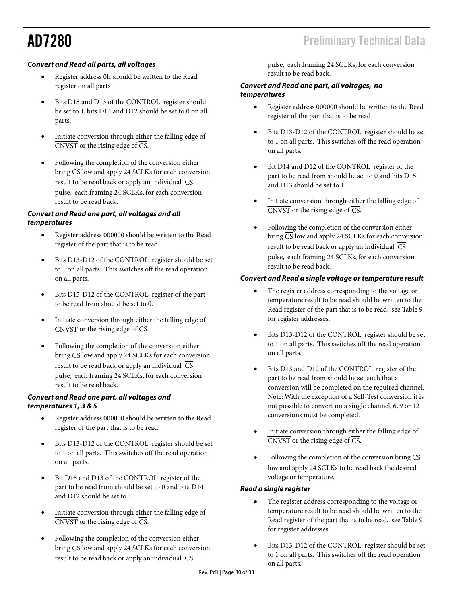# **Convert and Read all parts, all voltages**

- Register address 0h should be written to the Read register on all parts
- Bits D15 and D13 of the CONTROL register should be set to 1, bits D14 and D12 should be set to 0 on all parts.
- Initiate conversion through either the falling edge of  $\overline{\text{CNVST}}$  or the rising edge of  $\overline{\text{CS}}$ .
- Following the completion of the conversion either bring  $\overline{CS}$  low and apply 24 SCLKs for each conversion result to be read back or apply an individual  $\overline{CS}$ pulse, each framing 24 SCLKs, for each conversion result to be read back.

# **Convert and Read one part, all voltages and all temperatures**

- Register address 000000 should be written to the Read register of the part that is to be read
- Bits D13-D12 of the CONTROL register should be set to 1 on all parts. This switches off the read operation on all parts.
- Bits D15-D12 of the CONTROL register of the part to be read from should be set to 0.
- Initiate conversion through either the falling edge of  $\overline{\text{CNVST}}$  or the rising edge of  $\overline{\text{CS}}$ .
- Following the completion of the conversion either bring  $\overline{CS}$  low and apply 24 SCLKs for each conversion result to be read back or apply an individual  $\overline{CS}$ pulse, each framing 24 SCLKs, for each conversion result to be read back.

## **Convert and Read one part, all voltages and temperatures 1, 3 & 5**

- Register address 000000 should be written to the Read register of the part that is to be read
- Bits D13-D12 of the CONTROL register should be set to 1 on all parts. This switches off the read operation on all parts.
- Bit D15 and D13 of the CONTROL register of the part to be read from should be set to 0 and bits D14 and D12 should be set to 1.
- Initiate conversion through either the falling edge of  $\overline{\text{CNVST}}$  or the rising edge of  $\overline{\text{CS}}$ .
- Following the completion of the conversion either bring  $\overline{CS}$  low and apply 24 SCLKs for each conversion result to be read back or apply an individual  $\overline{CS}$

pulse, each framing 24 SCLKs, for each conversion result to be read back.

#### **Convert and Read one part, all voltages, no temperatures**

- Register address 000000 should be written to the Read register of the part that is to be read
- Bits D13-D12 of the CONTROL register should be set to 1 on all parts. This switches off the read operation on all parts.
- Bit D14 and D12 of the CONTROL register of the part to be read from should be set to 0 and bits D15 and D13 should be set to 1.
- Initiate conversion through either the falling edge of  $\overline{\text{CNVST}}$  or the rising edge of  $\overline{\text{CS}}$ .
- Following the completion of the conversion either bring  $\overline{CS}$  low and apply 24 SCLKs for each conversion result to be read back or apply an individual  $\overline{\text{CS}}$ pulse, each framing 24 SCLKs, for each conversion result to be read back.

# **Convert and Read a single voltage or temperature result**

- The register address corresponding to the voltage or temperature result to be read should be written to the Read register of the part that is to be read, see Table 9 for register addresses.
- Bits D13-D12 of the CONTROL register should be set to 1 on all parts. This switches off the read operation on all parts.
- Bits D13 and D12 of the CONTROL register of the part to be read from should be set such that a conversion will be completed on the required channel. Note: With the exception of a Self-Test conversion it is not possible to convert on a single channel, 6, 9 or 12 conversions must be completed.
- Initiate conversion through either the falling edge of  $\overline{\text{CNVST}}$  or the rising edge of  $\overline{\text{CS}}$ .
- Following the completion of the conversion bring  $\overline{CS}$ low and apply 24 SCLKs to be read back the desired voltage or temperature.

# **Read a single register**

- The register address corresponding to the voltage or temperature result to be read should be written to the Read register of the part that is to be read, see Table 9 for register addresses.
- Bits D13-D12 of the CONTROL register should be set to 1 on all parts. This switches off the read operation on all parts.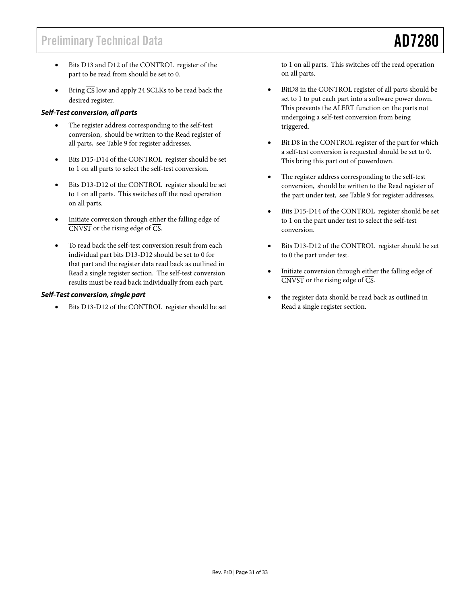- Bits D13 and D12 of the CONTROL register of the part to be read from should be set to 0.
- Bring  $\overline{CS}$  low and apply 24 SCLKs to be read back the desired register.

# **Self-Test conversion, all parts**

- The register address corresponding to the self-test conversion, should be written to the Read register of all parts, see Table 9 for register addresses.
- Bits D15-D14 of the CONTROL register should be set to 1 on all parts to select the self-test conversion.
- Bits D13-D12 of the CONTROL register should be set to 1 on all parts. This switches off the read operation on all parts.
- Initiate conversion through either the falling edge of  $\overline{\text{CNVST}}$  or the rising edge of  $\overline{\text{CS}}$ .
- To read back the self-test conversion result from each individual part bits D13-D12 should be set to 0 for that part and the register data read back as outlined in Read a single register section. The self-test conversion results must be read back individually from each part.

## **Self-Test conversion, single part**

Bits D13-D12 of the CONTROL register should be set

to 1 on all parts. This switches off the read operation on all parts.

- BitD8 in the CONTROL register of all parts should be set to 1 to put each part into a software power down. This prevents the ALERT function on the parts not undergoing a self-test conversion from being triggered.
- Bit D8 in the CONTROL register of the part for which a self-test conversion is requested should be set to 0. This bring this part out of powerdown.
- The register address corresponding to the self-test conversion, should be written to the Read register of the part under test, see Table 9 for register addresses.
- Bits D15-D14 of the CONTROL register should be set to 1 on the part under test to select the self-test conversion.
- Bits D13-D12 of the CONTROL register should be set to 0 the part under test.
- Initiate conversion through either the falling edge of  $\overline{\text{CNVST}}$  or the rising edge of  $\overline{\text{CS}}$ .
- the register data should be read back as outlined in Read a single register section.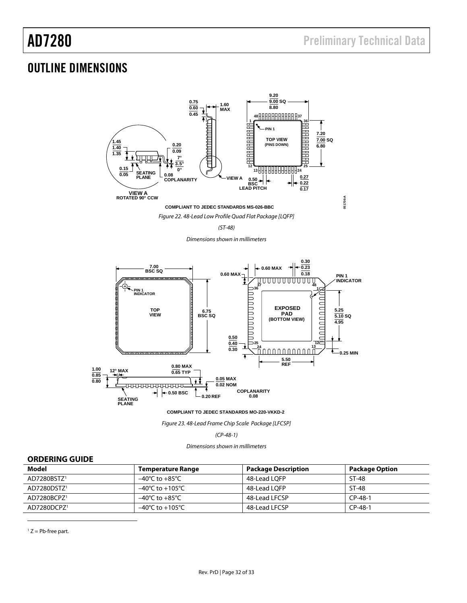# OUTLINE DIMENSIONS



(ST-48)

Dimensions shown in millimeters



**COMPLIANT TO JEDEC STANDARDS MO-220-VKKD-2**

Figure 23. 48-Lead Frame Chip Scale Package [LFCSP]

(CP-48-1)

Dimensions shown in millimeters

## **ORDERING GUIDE**

| Model                   | <b>Temperature Range</b>            | <b>Package Description</b> | <b>Package Option</b> |
|-------------------------|-------------------------------------|----------------------------|-----------------------|
| AD7280BSTZ <sup>1</sup> | $-40^{\circ}$ C to $+85^{\circ}$ C  | 48-Lead LOFP               | ST-48                 |
| AD7280DSTZ <sup>1</sup> | $-40^{\circ}$ C to $+105^{\circ}$ C | 48-Lead LOFP               | ST-48                 |
| AD7280BCPZ1             | $-40^{\circ}$ C to $+85^{\circ}$ C  | 48-Lead LFCSP              | $CP-48-1$             |
| AD7280DCPZ1             | $-40^{\circ}$ C to $+105^{\circ}$ C | 48-Lead LFCSP              | $CP-48-1$             |

 $1 Z = Pb$ -free part.

 $\overline{a}$